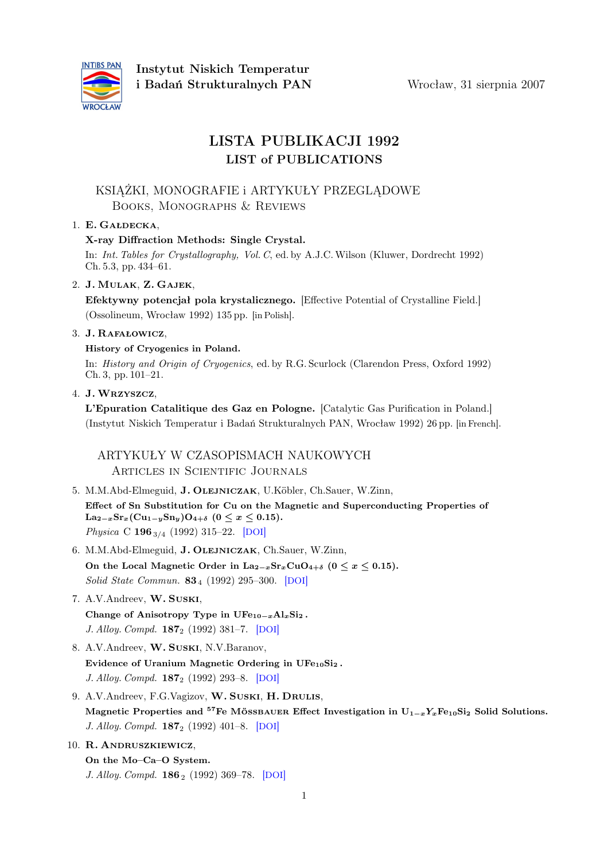

# LISTA PUBLIKACJI 1992 LIST of PUBLICATIONS

# KSIĄŻKI, MONOGRAFIE i ARTYKUŁY PRZEGLĄDOWE Books, Monographs & Reviews

## 1. E. Gałdecka,

## X-ray Diffraction Methods: Single Crystal.

In: Int. Tables for Crystallography, Vol. C, ed. by A.J.C.Wilson (Kluwer, Dordrecht 1992) Ch. 5.3, pp. 434–61.

## 2. J. Mulak, Z. Gajek,

Efektywny potencjał pola krystalicznego. [Effective Potential of Crystalline Field.] (Ossolineum, Wrocław 1992) 135 pp. [in Polish].

## 3. J. Rafałowicz,

## History of Cryogenics in Poland.

In: History and Origin of Cryogenics, ed. by R.G. Scurlock (Clarendon Press, Oxford 1992) Ch. 3, pp. 101–21.

4. J. Wrzyszcz,

L'Epuration Catalitique des Gaz en Pologne. [Catalytic Gas Purification in Poland.] (Instytut Niskich Temperatur i Badań Strukturalnych PAN, Wrocław 1992) 26 pp. [in French].

ARTYKUŁY W CZASOPISMACH NAUKOWYCH Articles in Scientific Journals

- 5. M.M.Abd-Elmeguid, J. Olejniczak, U.Köbler, Ch.Sauer, W.Zinn, Effect of Sn Substitution for Cu on the Magnetic and Superconducting Properties of  $\text{La}_{2-x}\text{Sr}_x(\text{Cu}_{1-y}\text{Sn}_y)\text{O}_{4+\delta}$  (0  $\leq x \leq 0.15$ ). Physica C 196<sub>3/4</sub> (1992) 315–22. [[DOI](http://dx.doi.org/10.1016/0921-4534(92)90452-I)]
- 6. M.M.Abd-Elmeguid, J. Olejniczak, Ch.Sauer, W.Zinn, On the Local Magnetic Order in  $\text{La}_{2-x}\text{Sr}_x\text{CuO}_{4+\delta}$  ( $0 \le x \le 0.15$ ). Solid State Commun. 83<sub>4</sub> (1992) 295-300. [[DOI](http://dx.doi.org/10.1016/0038-1098(92)90275-E)]
- 7. A.V.Andreev, W. Suski, Change of Anisotropy Type in  $UFe_{10-x}Al_xSi_2$ . J. Alloy. Compd. 187<sup>2</sup> (1992) 381–7. [[DOI](http://dx.doi.org/10.1016/0925-8388(92)90443-D)]
- 8. A.V.Andreev, W. Suski, N.V.Baranov, Evidence of Uranium Magnetic Ordering in UFe<sub>10</sub>Si<sub>2</sub>. J. Alloy. Compd. **187**<sub>2</sub> (1992) 293-8. [[DOI](http://dx.doi.org/10.1016/0925-8388(92)90435-C)]
- 9. A.V.Andreev, F.G.Vagizov, W. SUSKI, H. DRULIS, Magnetic Properties and <sup>57</sup>Fe MÖSSBAUER Effect Investigation in  $U_{1-x}Y_xF_{20}S_i$  Solid Solutions. J. Alloy. Compd. 187<sup>2</sup> (1992) 401–8. [[DOI](http://dx.doi.org/10.1016/0925-8388(92)90445-F)]

## 10. R. Andruszkiewicz,

On the Mo–Ca–O System. J. Alloy. Compd. **186**<sub>2</sub> (1992) 369-78. [[DOI](http://dx.doi.org/10.1016/0925-8388(92)90024-4)]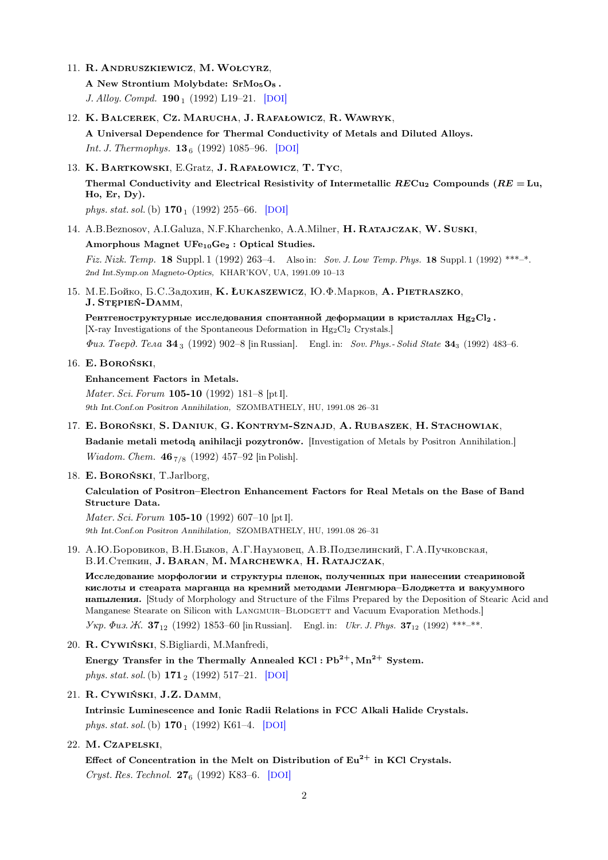11. R. Andruszkiewicz, M. Wołcyrz,

A New Strontium Molybdate:  $SrMo<sub>5</sub>O<sub>8</sub>$ . J. Alloy. Compd.  $190_1$  (1992) L19-21. [[DOI](http://dx.doi.org/10.1016/0925-8388(92)90161-2)]

12. K. Balcerek, Cz. Marucha, J. Rafałowicz, R. Wawryk,

A Universal Dependence for Thermal Conductivity of Metals and Diluted Alloys. *Int. J. Thermophys.*  $13_6$  (1992) 1085–96. [[DOI](http://dx.doi.org/10.1007/BF01141217)]

13. K. Bartkowski, E.Gratz, J. Rafałowicz, T. Tyc, Thermal Conductivity and Electrical Resistivity of Intermetallic  $RECu_2$  Compounds  $(RE = Lu,$ Ho, Er, Dy).

phys. stat. sol. (b)  $170_1$  (1992) 255–66. [[DOI](http://dx.doi.org/10.1002/pssb.2221700126)]

14. A.B.Beznosov, A.I.Galuza, N.F.Kharchenko, A.A.Milner, H. Ratajczak, W. Suski,

### Amorphous Magnet UFe<sub>10</sub>Ge<sub>2</sub> : Optical Studies.

Fiz. Nizk. Temp. 18 Suppl. 1 (1992) 263-4. Also in: Sov. J. Low Temp. Phys. 18 Suppl. 1 (1992) \*\*\*-\*. 2nd Int.Symp.on Magneto-Optics, KHAR'KOV, UA, 1991.09 10–13

15. M.E. Бойко, Б.С. Задохин, **K. Łukaszewicz**, Ю.Ф. Марков, A. Pietraszko, J. Stępień-Damm,

Рентгеноструктурные исследования спонтанной деформации в кристаллах  $Hg_2Cl_2$ . [X-ray Investigations of the Spontaneous Deformation in Hg<sub>2</sub>Cl<sub>2</sub> Crystals.]

 $\Phi u$ з. Тверд. Тела 34<sub>3</sub> (1992) 902–8 [in Russian]. Engl. in: Sov. Phys.- Solid State 34<sub>3</sub> (1992) 483–6.

16. E. Boroński,

#### Enhancement Factors in Metals.

Mater. Sci. Forum 105-10 (1992) 181–8 [pt I]. 9th Int.Conf.on Positron Annihilation, SZOMBATHELY, HU, 1991.08 26–31

- 17. E. Boroński, S. Daniuk, G. Kontrym-Sznajd, A. Rubaszek, H. Stachowiak, Badanie metali metodą anihilacji pozytronów. [Investigation of Metals by Positron Annihilation.] *Wiadom. Chem.* 46 $_{7/8}$  (1992) 457–92 [in Polish].
- 18. E. Boroński, T.Jarlborg,

## Calculation of Positron–Electron Enhancement Factors for Real Metals on the Base of Band Structure Data.

Mater. Sci. Forum 105-10 (1992) 607–10 [pt I]. 9th Int.Conf.on Positron Annihilation, SZOMBATHELY, HU, 1991.08 26–31

19. A.Ю.Боровиков, В.Н.Быков, А.Г.Наумовец, А.В.Подзелинский, Г.А.Пучковская, **В.И.Степкин, J. BARAN, M. MARCHEWKA, H. RATAJCZAK,** 

Исследование морфологии и структуры пленок, полученных при нанесении стеариновой кислоты и стеарата марганца на кремний методами Ленгмюра-Блоджетта и вакуумного Hauplinguist is entirely Study of Morphology and Structure of the Films Prepared by the Deposition of Stearic Acid and Manganese Stearate on Silicon with LANGMUIR–BLODGETT and Vacuum Evaporation Methods.

 $V_{\mathcal{W}}$   $\Phi u_3$ .  $\mathcal{H}$ .  $37_{12}$  (1992) 1853–60 [in Russian]. Engl. in: Ukr. J. Phys.  $37_{12}$  (1992) \*\*\*–\*\*.

20. R. Cywiński, S.Bigliardi, M.Manfredi,

Energy Transfer in the Thermally Annealed  $KCl : Pb^{2+}$ ,  $Mn^{2+}$  System. phys. stat. sol.(b) 171<sup>2</sup> (1992) 517–21. [[DOI](http://dx.doi.org/10.1002/pssb.2221710223)]

21. R. Cywiński, J.Z. Damm,

Intrinsic Luminescence and Ionic Radii Relations in FCC Alkali Halide Crystals. phys. stat. sol. (b)  $170_1$  (1992) K61–4. [[DOI](http://dx.doi.org/10.1002/pssb.2221700151)]

#### 22. M. Czapelski,

Effect of Concentration in the Melt on Distribution of  $Eu^{2+}$  in KCl Crystals. Cryst. Res. Technol.  $27_6$  (1992) K83-6. [[DOI](http://dx.doi.org/10.1002/crat.2170270628)]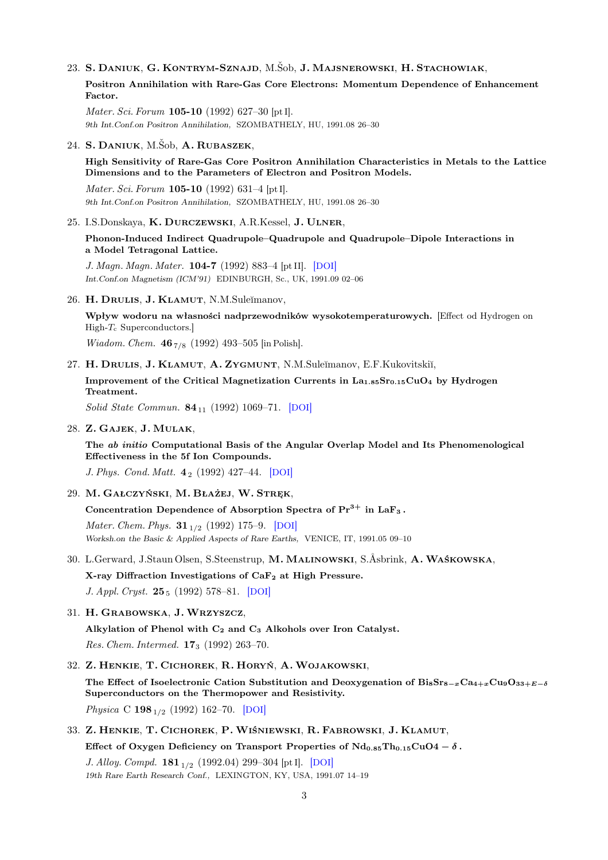### 23. S. Daniuk, G. Kontrym-Sznajd, M.Šob, J. Majsnerowski, H. Stachowiak,

Positron Annihilation with Rare-Gas Core Electrons: Momentum Dependence of Enhancement Factor.

Mater. Sci. Forum 105-10 (1992) 627-30 [pt I]. 9th Int.Conf.on Positron Annihilation, SZOMBATHELY, HU, 1991.08 26–30

### 24. S. Daniuk, M.Šob, A. Rubaszek,

High Sensitivity of Rare-Gas Core Positron Annihilation Characteristics in Metals to the Lattice Dimensions and to the Parameters of Electron and Positron Models.

Mater. Sci. Forum 105-10 (1992) 631–4 [pt I]. 9th Int.Conf.on Positron Annihilation, SZOMBATHELY, HU, 1991.08 26–30

#### 25. I.S.Donskaya, K. Durczewski, A.R.Kessel, J. Ulner,

Phonon-Induced Indirect Quadrupole–Quadrupole and Quadrupole–Dipole Interactions in a Model Tetragonal Lattice.

J. Magn. Magn. Mater. 104-7 (1992) 883–4 [pt II]. [[DOI](http://dx.doi.org/10.1016/0304-8853(92)90406-E)] Int.Conf.on Magnetism (ICM'91) EDINBURGH, Sc., UK, 1991.09 02–06

#### 26. H. DRULIS, J. KLAMUT, N.M.Suleĭmanov,

Wpływ wodoru na własności nadprzewodników wysokotemperaturowych. [Effect od Hydrogen on  $High-T<sub>c</sub> Superconductors.$ 

*Wiadom. Chem.*  $46_{7/8}$  (1992) 493-505 [in Polish].

27. H. DRULIS, J. KLAMUT, A. ZYGMUNT, N.M.Suleĭmanov, E.F.Kukovitskiĭ,

Improvement of the Critical Magnetization Currents in  $La<sub>1.85</sub>Sr<sub>0.15</sub>CuO<sub>4</sub>$  by Hydrogen Treatment.

Solid State Commun.  $84_{11}$  (1992) 1069–71. [[DOI](http://dx.doi.org/10.1016/0038-1098(92)90442-C)]

### 28. Z. Gajek, J. Mulak,

The ab initio Computational Basis of the Angular Overlap Model and Its Phenomenological Effectiveness in the 5f Ion Compounds.

J. Phys. Cond. Matt. 4<sup>2</sup> (1992) 427–44. [[DOI](http://dx.doi.org/10.1088/0953-8984/4/2/012)]

#### 29. M. Gałczyński, M. Błażej, W. Stręk,

Concentration Dependence of Absorption Spectra of  $Pr<sup>3+</sup>$  in LaF<sub>3</sub>.

*Mater. Chem. Phys.*  $31_{1/2}$  (1992) 175–9. [[DOI](http://dx.doi.org/10.1016/0254-0584(92)90174-7)] Worksh.on the Basic & Applied Aspects of Rare Earths, VENICE, IT, 1991.05 09–10

### 30. L.Gerward, J.Staun Olsen, S.Steenstrup, M. Malinowski, S.Åsbrink, A. Waśkowska,

X-ray Diffraction Investigations of CaF<sub>2</sub> at High Pressure.

J. Appl. Cryst.  $25_5$  (1992) 578–81. [[DOI](http://dx.doi.org/10.1107/S0021889892004096)]

#### 31. H. Grabowska, J. Wrzyszcz,

Alkylation of Phenol with  $C_2$  and  $C_3$  Alkohols over Iron Catalyst. Res. Chem. Intermed. 17<sup>3</sup> (1992) 263–70.

#### 32. Z. Henkie, T. Cichorek, R. Horyń, A. Wojakowski,

The Effect of Isoelectronic Cation Substitution and Deoxygenation of  $Bi_8Sr_{8-x}Ca_{4+x}Cu_9O_{33+E-\delta}$ Superconductors on the Thermopower and Resistivity.

Physica C 198<sub>1/2</sub> (1992) 162–70. [[DOI](http://dx.doi.org/10.1016/0921-4534(92)90280-P)]

33. Z. Henkie, T. Cichorek, P. Wiśniewski, R. Fabrowski, J. Klamut,

Effect of Oxygen Deficiency on Transport Properties of  $Nd_{0.85}Th_{0.15}CuO4 - \delta$ .

J. Alloy. Compd.  $181_{1/2}$  (1992.04) 299-304 [pt I]. [[DOI](http://dx.doi.org/10.1016/0925-8388(92)90326-5)] 19th Rare Earth Research Conf., LEXINGTON, KY, USA, 1991.07 14–19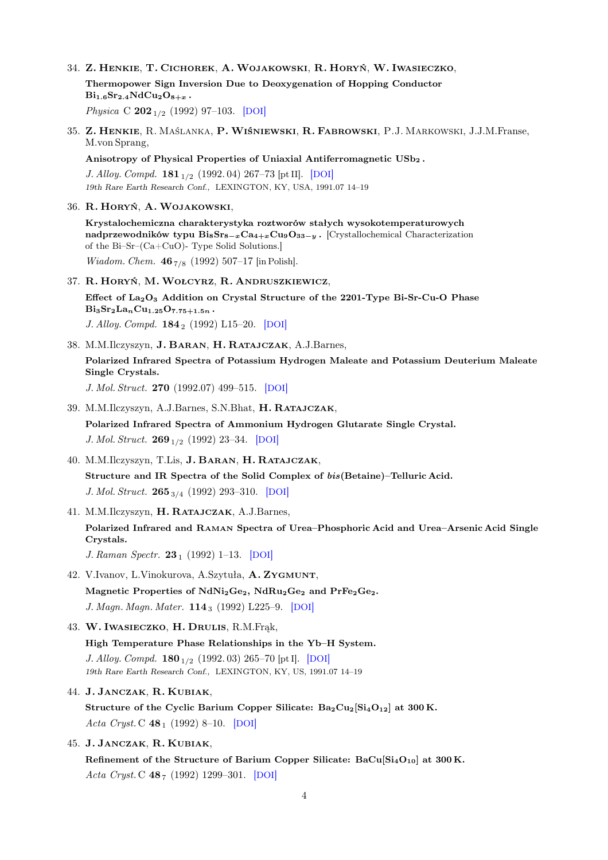34. Z. Henkie, T. Cichorek, A. Wojakowski, R. Horyń, W. Iwasieczko, Thermopower Sign Inversion Due to Deoxygenation of Hopping Conductor  $Bi_{1.6}Sr_{2.4}NdCu_{2}O_{8+x}$ .

Physica C  $202_{1/2}$  (1992) 97-103. [[DOI](http://dx.doi.org/10.1016/0921-4534(92)90300-2)]

35. Z. Henkie, R. Maślanka, P. Wiśniewski, R. Fabrowski, P.J. Markowski, J.J.M.Franse, M.von Sprang,

Anisotropy of Physical Properties of Uniaxial Antiferromagnetic USb<sub>2</sub>.

J. Alloy. Compd.  $181_{1/2}$  (1992. 04) 267–73 [pt II]. [[DOI](http://dx.doi.org/10.1016/0925-8388(92)90321-Y)] 19th Rare Earth Research Conf., LEXINGTON, KY, USA, 1991.07 14–19

36. R. Horyń, A. Wojakowski,

Krystalochemiczna charakterystyka roztworów stałych wysokotemperaturowych nadprzewodników typu  $\text{Bi}_8\text{Sr}_{8-x}\text{Ca}_{4+x}\text{Cu}_9\text{O}_{33-y}$ . [Crystallochemical Characterization of the Bi–Sr–(Ca+CuO)- Type Solid Solutions.] *Wiadom. Chem.* 46 $_{7/8}$  (1992) 507-17 [in Polish].

37. R. Horyń, M. Wołcyrz, R. Andruszkiewicz,

Effect of  $La_2O_3$  Addition on Crystal Structure of the 2201-Type Bi-Sr-Cu-O Phase  $Bigs_{3}Sr_{2}La_{n}Cu_{1.25}O_{7.75+1.5n}$ . J. Alloy. Compd.  $184_2$  (1992) L15–20. [[DOI](http://dx.doi.org/10.1016/0925-8388(92)90490-Z)]

38. M.M.Ilczyszyn, J. Baran, H. Ratajczak, A.J.Barnes, Polarized Infrared Spectra of Potassium Hydrogen Maleate and Potassium Deuterium Maleate Single Crystals.

J. Mol. Struct. 270 (1992.07) 499–515. [[DOI](http://dx.doi.org/10.1016/0022-2860(92)85050-Q)]

39. M.M.Ilczyszyn, A.J.Barnes, S.N.Bhat, H. Ratajczak,

Polarized Infrared Spectra of Ammonium Hydrogen Glutarate Single Crystal. J. Mol. Struct.  $269_{1/2}$  (1992) 23-34. [[DOI](http://dx.doi.org/10.1016/0022-2860(92)80002-Y)]

40. M.M.Ilczyszyn, T.Lis, J. Baran, H. Ratajczak,

Structure and IR Spectra of the Solid Complex of bis(Betaine)–Telluric Acid. J. Mol. Struct. 265<sub>3/4</sub> (1992) 293-310. [[DOI](http://dx.doi.org/10.1016/0022-2860(92)80108-T)]

41. M.M.Ilczyszyn, H. Ratajczak, A.J.Barnes,

Polarized Infrared and Raman Spectra of Urea–Phosphoric Acid and Urea–Arsenic Acid Single Crystals.

J. Raman Spectr.  $23_1$  (1992) 1–13. [[DOI](http://dx.doi.org/10.1002/jrs.1250230102)]

42. V.Ivanov, L.Vinokurova, A.Szytuła, A. Zygmunt,

Magnetic Properties of  $NdNi<sub>2</sub>Ge<sub>2</sub>$ ,  $NdRu<sub>2</sub>Ge<sub>2</sub>$  and  $PrFe<sub>2</sub>Ge<sub>2</sub>$ .

J. Magn. Magn. Mater. 114<sub>3</sub> (1992) L225-9. [[DOI](http://dx.doi.org/10.1016/0304-8853(92)90256-N)]

43. W. Iwasieczko, H. Drulis, R.M.Frąk,

High Temperature Phase Relationships in the Yb–H System. J. Alloy. Compd.  $180_{1/2}$  (1992. 03) 265–70 [pt I]. [[DOI](http://dx.doi.org/10.1016/0925-8388(92)90391-L)] 19th Rare Earth Research Conf., LEXINGTON, KY, US, 1991.07 14–19

44. J. Janczak, R. Kubiak,

Structure of the Cyclic Barium Copper Silicate:  $Ba_2Cu_2[Si_4O_{12}]$  at 300 K. Acta Cryst. C  $48_1$  (1992) 8-10. [[DOI](http://dx.doi.org/10.1107/S0108270191002354)]

45. J. Janczak, R. Kubiak,

Refinement of the Structure of Barium Copper Silicate:  $BaCu[Si_4O_{10}]$  at 300 K. Acta Cryst. C  $48_7$  (1992) 1299–301. [[DOI](http://dx.doi.org/10.1107/S0108270191014580)]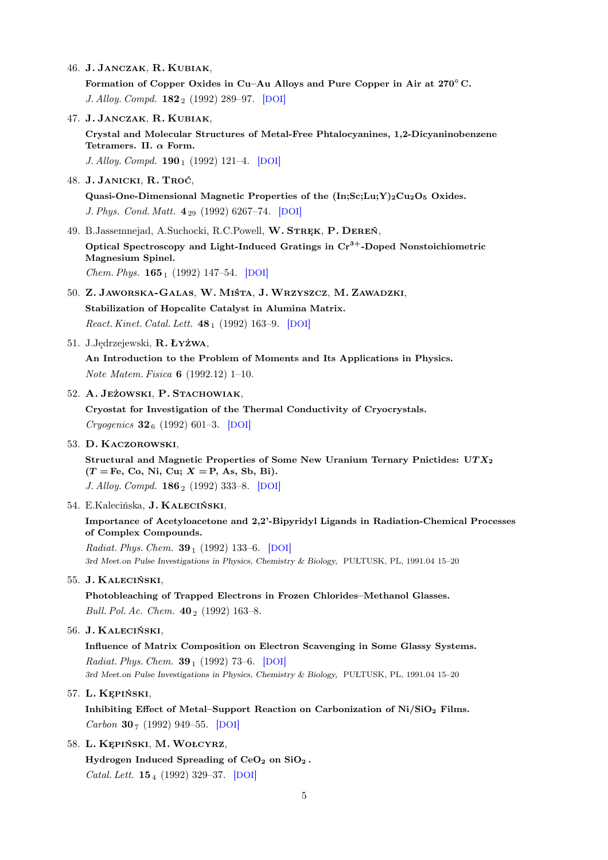46. J. Janczak, R. Kubiak,

Formation of Copper Oxides in Cu–Au Alloys and Pure Copper in Air at 270°C. J. Alloy. Compd.  $182_2$  (1992) 289–97. [[DOI](http://dx.doi.org/10.1016/0925-8388(92)90603-7)]

47. J. Janczak, R. Kubiak, Crystal and Molecular Structures of Metal-Free Phtalocyanines, 1,2-Dicyaninobenzene Tetramers. II.  $\alpha$  Form. J. Alloy. Compd.  $190_1$  (1992) 121–4. [[DOI](http://dx.doi.org/10.1016/0925-8388(92)90187-E)]

48. J. Janicki, R. Troć,

Quasi-One-Dimensional Magnetic Properties of the  $(In;Sc;Lu;Y)_2Cu_2O_5$  Oxides. J. Phys. Cond. Matt. 4<sup>29</sup> (1992) 6267–74. [[DOI](http://dx.doi.org/10.1088/0953-8984/4/29/010)]

- 49. B.Jassemnejad, A.Suchocki, R.C.Powell, W. STREK, P. DEREŃ, Optical Spectroscopy and Light-Induced Gratings in  $Cr<sup>3+</sup>$ -Doped Nonstoichiometric Magnesium Spinel. Chem. Phys. **165**<sub>1</sub> (1992) 147-54. [[DOI](http://dx.doi.org/10.1016/0301-0104(92)80052-W)]
- 50. Z. Jaworska-Galas, W. Miśta, J. Wrzyszcz, M. Zawadzki, Stabilization of Hopcalite Catalyst in Alumina Matrix. React. Kinet. Catal. Lett.  $48_1$  (1992) 163-9. [[DOI](http://dx.doi.org/10.1007/BF02070081)]
- 51. J.Jędrzejewski, R. Łyżwa,

An Introduction to the Problem of Moments and Its Applications in Physics. Note Matem. Fisica 6 (1992.12) 1–10.

52. A. Jeżowski, P. Stachowiak,

Cryostat for Investigation of the Thermal Conductivity of Cryocrystals. Cryogenics  $32_6$  (1992) 601–3. [[DOI](http://dx.doi.org/10.1016/0011-2275(92)90048-F)]

53. D. Kaczorowski,

Structural and Magnetic Properties of Some New Uranium Ternary Pnictides:  $UTX<sub>2</sub>$  $(T = Fe, Co, Ni, Cu; X = P, As, Sb, Bi).$ J. Alloy. Compd. **186**<sub>2</sub> (1992) 333-8. [[DOI](http://dx.doi.org/10.1016/0925-8388(92)90020-A)]

54. E.Kalecińska, J. Kaleciński,

Importance of Acetyloacetone and 2,2'-Bipyridyl Ligands in Radiation-Chemical Processes of Complex Compounds.

Radiat. Phys. Chem.  $39_1$  (1992) 133–6. [[DOI](http://dx.doi.org/10.1016/1359-0197(92)90186-J)] 3rd Meet.on Pulse Investigations in Physics, Chemistry & Biology, PUŁTUSK, PL, 1991.04 15–20

55. J. Kaleciński,

Photobleaching of Trapped Electrons in Frozen Chlorides–Methanol Glasses. Bull. Pol. Ac. Chem.  $40_2$  (1992) 163–8.

56. J. Kaleciński,

Influence of Matrix Composition on Electron Scavenging in Some Glassy Systems. Radiat. Phys. Chem.  $39_1$  (1992) 73–6. [[DOI](http://dx.doi.org/10.1016/1359-0197(92)90175-F)]

3rd Meet.on Pulse Investigations in Physics, Chemistry & Biology, PUŁTUSK, PL, 1991.04 15–20

57. L. Kępiński,

Inhibiting Effect of Metal–Support Reaction on Carbonization of  $Ni/SiO<sub>2</sub>$  Films. Carbon 30  $_7$  (1992) 949–55. [[DOI](http://dx.doi.org/10.1016/0008-6223(92)90120-L)]

#### 58. L. Kępiński, M. Wołcyrz,

Hydrogen Induced Spreading of  $CeO<sub>2</sub>$  on  $SiO<sub>2</sub>$ . Catal. Lett. **15** 4 (1992) 329–37. [[DOI](http://dx.doi.org/10.1007/BF00769155)]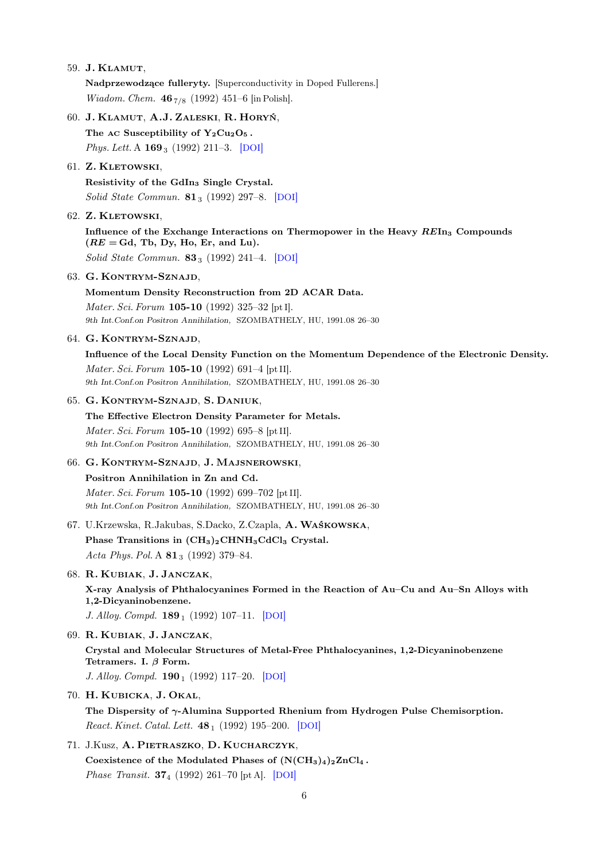59. J. Klamut,

Nadprzewodzące fulleryty. [Superconductivity in Doped Fullerens.] *Wiadom. Chem.*  $46_{7/8}$  (1992) 451–6 [in Polish].

60. J. Klamut, A.J. Zaleski, R. Horyń, The AC Susceptibility of  $Y_2Cu_2O_5$ . Phys. Lett. A **169**<sub>3</sub> (1992) 211-3. [[DOI](http://dx.doi.org/10.1016/0375-9601(92)90596-E)]

### 61. Z. Kletowski,

Resistivity of the GdIn<sup>3</sup> Single Crystal. Solid State Commun.  $81_3$  (1992) 297–8. [[DOI](http://dx.doi.org/10.1016/0038-1098(92)90518-E)]

62. Z. KLETOWSKI,

Influence of the Exchange Interactions on Thermopower in the Heavy  $REIn_3$  Compounds  $(RE = Gd, Tb, Dy, Ho, Er, and Lu).$ Solid State Commun.  $83_3$  (1992) 241–4. [[DOI](http://dx.doi.org/10.1016/0038-1098(92)90845-Z)]

63. G. Kontrym-Sznajd,

Momentum Density Reconstruction from 2D ACAR Data. Mater. Sci. Forum **105-10** (1992) 325-32 [pt I]. 9th Int.Conf.on Positron Annihilation, SZOMBATHELY, HU, 1991.08 26–30

64. G. Kontrym-Sznajd,

Influence of the Local Density Function on the Momentum Dependence of the Electronic Density. Mater. Sci. Forum 105-10 (1992) 691–4 [pt II]. 9th Int.Conf.on Positron Annihilation, SZOMBATHELY, HU, 1991.08 26–30

### 65. G. Kontrym-Sznajd, S. Daniuk,

The Effective Electron Density Parameter for Metals. Mater. Sci. Forum 105-10 (1992) 695–8 [pt II]. 9th Int.Conf.on Positron Annihilation, SZOMBATHELY, HU, 1991.08 26–30

# 66. G. Kontrym-Sznajd, J. Majsnerowski, Positron Annihilation in Zn and Cd.

Mater. Sci. Forum 105-10 (1992) 699–702 [pt II]. 9th Int.Conf.on Positron Annihilation, SZOMBATHELY, HU, 1991.08 26–30

- 67. U.Krzewska, R.Jakubas, S.Dacko, Z.Czapla, A. Waśkowska, Phase Transitions in  $(CH_3)_2CHNH_3CdCl_3$  Crystal. Acta Phys. Pol. A  $81_3$  (1992) 379–84.
- 68. R. Kubiak, J. Janczak,

X-ray Analysis of Phthalocyanines Formed in the Reaction of Au–Cu and Au–Sn Alloys with 1,2-Dicyaninobenzene.

J. Alloy. Compd.  $189_1$  (1992) 107-11. [[DOI](http://dx.doi.org/10.1016/0925-8388(92)90054-D)]

- 69. R. Kubiak, J. Janczak, Crystal and Molecular Structures of Metal-Free Phthalocyanines, 1,2-Dicyaninobenzene Tetramers. I.  $\beta$  Form. J. Alloy. Compd.  $190_1$  (1992) 117–20. [[DOI](http://dx.doi.org/10.1016/0925-8388(92)90186-D)]
- 70. H. Kubicka, J. Okal, The Dispersity of  $\gamma$ -Alumina Supported Rhenium from Hydrogen Pulse Chemisorption. React. Kinet. Catal. Lett.  $48_1$  (1992) 195–200. [[DOI](http://dx.doi.org/10.1007/BF02070085)]
- 71. J.Kusz, A. Pietraszko, D. Kucharczyk, Coexistence of the Modulated Phases of  $(N(CH_3)_4)_2ZnCl_4$ . Phase Transit. 37<sup>4</sup> (1992) 261–70 [pt A]. [[DOI](http://dx.doi.org/10.1080/01411599208203454)]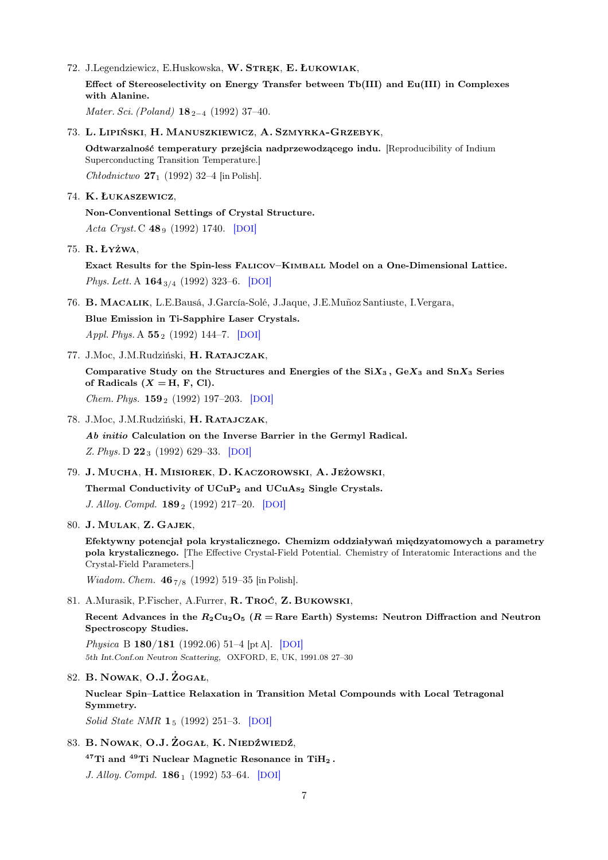72. J.Legendziewicz, E.Huskowska, W. STREK, E. ŁUKOWIAK, Effect of Stereoselectivity on Energy Transfer between Tb(III) and Eu(III) in Complexes with Alanine.

Mater. Sci. (Poland)  $18_{2-4}$  (1992) 37–40.

73. L. Lipiński, H. Manuszkiewicz, A. Szmyrka-Grzebyk,

Odtwarzalność temperatury przejścia nadprzewodzącego indu. [Reproducibility of Indium Superconducting Transition Temperature.]

Chłodnictwo  $27_1$  (1992) 32–4 [in Polish].

74. K. Łukaszewicz,

Non-Conventional Settings of Crystal Structure. Acta Cryst. C 48 9 (1992) 1740. [[DOI](http://dx.doi.org/10.1107/S0108270192007169)]

75. R. Łyżwa,

Exact Results for the Spin-less Falicov–Kimball Model on a One-Dimensional Lattice. Phys. Lett. A  $164_{3/4}$  (1992) 323–6. [[DOI](http://dx.doi.org/10.1016/0375-9601(92)91113-6)]

- 76. B. Macalik, L.E.Bausá, J.García-Solé, J.Jaque, J.E.Muñoz Santiuste, I.Vergara, Blue Emission in Ti-Sapphire Laser Crystals. Appl. Phys. A  $55_2$  (1992) 144–7. [[DOI](http://dx.doi.org/10.1007/BF00334213)]
- 77. J.Moc, J.M.Rudziński, H. Ratajczak,

Comparative Study on the Structures and Energies of the  $SiX_3$ ,  $GeX_3$  and  $SnX_3$  Series of Radicals  $(X = H, F, Cl)$ . Chem. Phys. **159**<sub>2</sub> (1992) 197–203. [[DOI](http://dx.doi.org/10.1016/0301-0104(92)80070-C)]

78. J.Moc, J.M.Rudziński, H. Ratajczak,

Ab initio Calculation on the Inverse Barrier in the Germyl Radical. Z. Phys. D  $22_3$  (1992) 629–33. [[DOI](http://dx.doi.org/10.1007/BF01426364)]

79. J. Mucha, H. Misiorek, D. Kaczorowski, A. Jeżowski,

Thermal Conductivity of UCuP<sub>2</sub> and UCuAs<sub>2</sub> Single Crystals.

J. Alloy. Compd.  $189_2$  (1992) 217–20. [[DOI](http://dx.doi.org/10.1016/0925-8388(92)90710-Q)]

80. J. Mulak, Z. Gajek,

Efektywny potencjał pola krystalicznego. Chemizm oddziaływań międzyatomowych a parametry pola krystalicznego. [The Effective Crystal-Field Potential. Chemistry of Interatomic Interactions and the Crystal-Field Parameters.]

*Wiadom. Chem.*  $46_{7/8}$  (1992) 519–35 [in Polish].

81. A.Murasik, P.Fischer, A.Furrer, R. Troć, Z. Bukowski,

Recent Advances in the  $R_2Cu_2O_5$  ( $R =$ Rare Earth) Systems: Neutron Diffraction and Neutron Spectroscopy Studies.

Physica B 180/181 (1992.06) 51–4 [pt A]. [[DOI](http://dx.doi.org/10.1016/0921-4526(92)90657-E)] 5th Int.Conf.on Neutron Scattering, OXFORD, E, UK, 1991.08 27–30

82. B. Nowak, O.J. Żogał,

Nuclear Spin–Lattice Relaxation in Transition Metal Compounds with Local Tetragonal Symmetry.

Solid State NMR 1<sub>5</sub> (1992) 251-3. [[DOI](http://dx.doi.org/10.1016/0926-2040(92)90044-A)]

83. B. Nowak, O.J. Żogał, K. Niedźwiedź,

 $47$ Ti and  $49$ Ti Nuclear Magnetic Resonance in TiH<sub>2</sub>.

J. Alloy. Compd. **186**<sub>1</sub> (1992) 53-64. [[DOI](http://dx.doi.org/10.1016/0925-8388(92)90620-O)]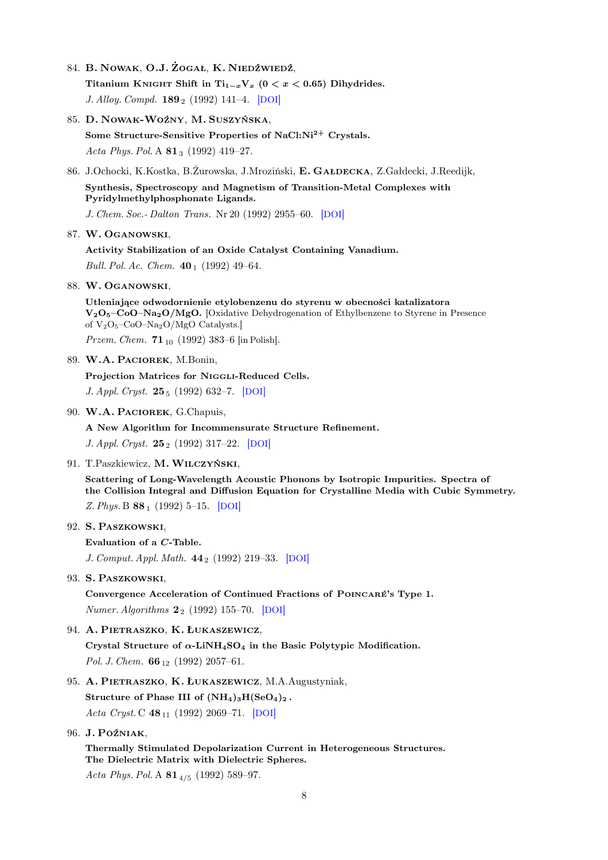84. B. Nowak, O.J. Żogał, K. Niedźwiedź,

Titanium KNIGHT Shift in Ti<sub>1-x</sub>V<sub>x</sub> (0 < x < 0.65) Dihydrides. J. Alloy. Compd.  $189_2$  (1992) 141–4. [[DOI](http://dx.doi.org/10.1016/0925-8388(92)90697-8)]

- 85. D. Nowak-Woźny, M. Suszyńska, Some Structure-Sensitive Properties of NaCl:Ni<sup>2+</sup> Crystals. Acta Phys. Pol. A  $81_3$  (1992) 419-27.
- 86. J.Ochocki, K.Kostka, B.Żurowska, J.Mroziński, E. Gałdecka, Z.Gałdecki, J.Reedijk,

Synthesis, Spectroscopy and Magnetism of Transition-Metal Complexes with Pyridylmethylphosphonate Ligands.

J. Chem. Soc.- Dalton Trans. Nr 20 (1992) 2955–60. [[DOI](http://dx.doi.org/10.1039/DT9920002955)]

### 87. W. Oganowski,

Activity Stabilization of an Oxide Catalyst Containing Vanadium. Bull. Pol. Ac. Chem.  $40_1$  (1992) 49-64.

88. W. Oganowski,

Utleniające odwodornienie etylobenzenu do styrenu w obecności katalizatora  $V_2O_5-CoO-Na_2O/MgO.$  [Oxidative Dehydrogenation of Ethylbenzene to Styrene in Presence of V2O5–CoO–Na2O/MgO Catalysts.]

Przem. Chem.  $71_{10}$  (1992) 383–6 [in Polish].

89. W.A. Paciorek, M.Bonin,

Projection Matrices for Niggli-Reduced Cells.

J. Appl. Cryst. 25<sub>5</sub> (1992) 632-7. [[DOI](http://dx.doi.org/10.1107/S0021889892005363)]

90. W.A. PACIOREK, G.Chapuis,

A New Algorithm for Incommensurate Structure Refinement.

J. Appl. Cryst. 25<sub>2</sub> (1992) 317–22. [[DOI](http://dx.doi.org/10.1107/S0021889891013328)]

91. T.Paszkiewicz, M. Wilczyński,

Scattering of Long-Wavelength Acoustic Phonons by Isotropic Impurities. Spectra of the Collision Integral and Diffusion Equation for Crystalline Media with Cubic Symmetry. Z. Phys. B  $88_1$  (1992) 5–15. [[DOI](http://dx.doi.org/10.1007/BF01573832)]

92. S. Paszkowski,

Evaluation of a C-Table.

J. Comput. Appl. Math. 44<sub>2</sub> (1992) 219–33. [[DOI](http://dx.doi.org/10.1016/0377-0427(92)90012-M)]

93. S. Paszkowski,

Convergence Acceleration of Continued Fractions of Poincaré's Type 1. Numer. Algorithms  $2_2$  (1992) 155–70. [[DOI](http://dx.doi.org/10.1007/BF02145383)]

94. A. Pietraszko, K. Łukaszewicz,

Crystal Structure of  $\alpha$ -LiNH<sub>4</sub>SO<sub>4</sub> in the Basic Polytypic Modification. Pol. J. Chem.  $66_{12}$  (1992) 2057–61.

## 95. A. PIETRASZKO, K. ŁUKASZEWICZ, M.A.Augustyniak,

Structure of Phase III of  $(NH_4)_3H(SeO_4)_2$ . Acta Cryst. C  $48_{11}$  (1992) 2069–71. [[DOI](http://dx.doi.org/10.1107/S0108270192005006)]

96. J. Poźniak,

Thermally Stimulated Depolarization Current in Heterogeneous Structures. The Dielectric Matrix with Dielectric Spheres.

Acta Phys. Pol. A  $81_{4/5}$  (1992) 589-97.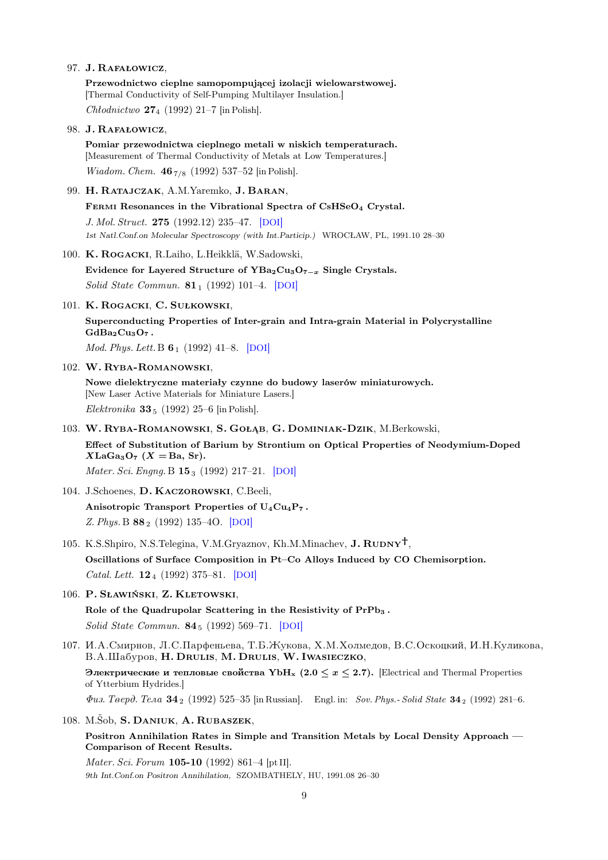#### 97. J. Rafałowicz,

Przewodnictwo cieplne samopompującej izolacji wielowarstwowej. [Thermal Conductivity of Self-Pumping Multilayer Insulation.]

Chłodnictwo  $27_4$  (1992) 21–7 [in Polish].

98. J. Rafałowicz,

Pomiar przewodnictwa cieplnego metali w niskich temperaturach. [Measurement of Thermal Conductivity of Metals at Low Temperatures.] *Wiadom. Chem.*  $46_{7/8}$  (1992) 537–52 [in Polish].

99. H. Ratajczak, A.M.Yaremko, J. Baran,

FERMI Resonances in the Vibrational Spectra of CsHSeO<sub>4</sub> Crystal. J. Mol. Struct. 275 (1992.12) 235–47. [[DOI](http://dx.doi.org/10.1016/0022-2860(92)80199-R)]

1st Natl.Conf.on Molecular Spectroscopy (with Int.Particip.) WROCŁAW, PL, 1991.10 28–30

100. K. Rogacki, R.Laiho, L.Heikklä, W.Sadowski,

Evidence for Layered Structure of  $YBa_2Cu_3O_{7-x}$  Single Crystals. Solid State Commun.  $81_1$  (1992) 101–4. [[DOI](http://dx.doi.org/10.1016/0038-1098(92)90580-3)]

101. K. Rogacki, C. Sułkowski,

Superconducting Properties of Inter-grain and Intra-grain Material in Polycrystalline  $GdBa<sub>2</sub>Cu<sub>3</sub>O<sub>7</sub>$ .

Mod. Phys. Lett. B **6**<sub>1</sub> (1992) 41–8. [[DOI](http://dx.doi.org/10.1142/S0217984992000077)]

102. W. Ryba-Romanowski,

Nowe dielektryczne materiały czynne do budowy laserów miniaturowych. [New Laser Active Materials for Miniature Lasers.] Elektronika 33 $_5$  (1992) 25–6 [in Polish].

103. W. Ryba-Romanowski, S. Gołąb, G. Dominiak-Dzik, M.Berkowski,

Effect of Substitution of Barium by Strontium on Optical Properties of Neodymium-Doped  $XLaGa<sub>3</sub>O<sub>7</sub>$  (X = Ba, Sr).

Mater. Sci. Engng. B 153 (1992) 217-21. [[DOI](http://dx.doi.org/10.1016/0921-5107(92)90061-D)]

- 104. J.Schoenes, D. Kaczorowski, C.Beeli, Anisotropic Transport Properties of U<sub>4</sub>Cu<sub>4</sub>P<sub>7</sub>. Z. Phys. B 88<sup>2</sup> (1992) 135–4O. [[DOI](http://dx.doi.org/10.1007/BF01323564)]
- 105. K.S.Shpiro, N.S.Telegina, V.M.Gryaznov, Kh.M.Minachev,  $J. \text{RUDNY}^{\dagger}$ ,

Oscillations of Surface Composition in Pt–Co Alloys Induced by CO Chemisorption. Catal. Lett. **12**<sub>4</sub> (1992) 375–81. [[DOI](http://dx.doi.org/10.1007/BF00765067)]

106. P. Sławiński, Z. Kletowski,

Role of the Quadrupolar Scattering in the Resistivity of PrPb<sub>3</sub>. Solid State Commun. 84<sup>5</sup> (1992) 569–71. [[DOI](http://dx.doi.org/10.1016/0038-1098(92)90191-B)]

107. И.А.Смирнов, Л.С.Парфеньева, Т.Б.Жукова, Х.М.Холмедов, В.С.Оскоцкий, И.Н.Куликова, B.A.IIIaбуров, H. Drulis, M. Drulis, W. Iwasieczko,

Электрические и тепловые свойства YbH<sub>x</sub> (2.0  $\leq$   $x \leq$  2.7). [Electrical and Thermal Properties of Ytterbium Hydrides.]

 $\Phi u$ s. Teepd. Tena 34<sub>2</sub> (1992) 525–35 lin Russian]. Engl. in: Sov. Phys.- Solid State 34  $_2$  (1992) 281–6.

108. M.Šob, S. Daniuk, A. Rubaszek,

Positron Annihilation Rates in Simple and Transition Metals by Local Density Approach — Comparison of Recent Results.

Mater. Sci. Forum 105-10 (1992) 861–4 [pt II]. 9th Int.Conf.on Positron Annihilation, SZOMBATHELY, HU, 1991.08 26–30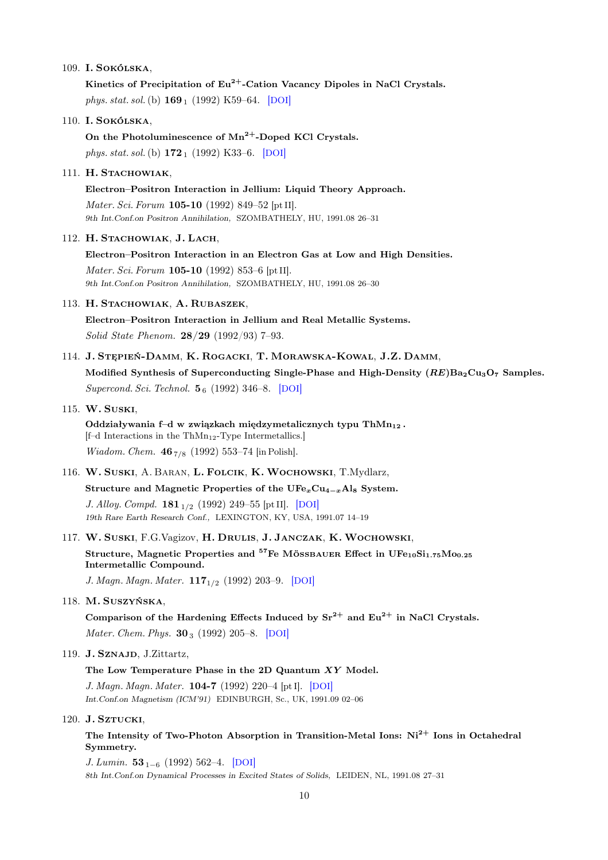### 109. I. Sokólska,

Kinetics of Precipitation of  $Eu^{2+}$ -Cation Vacancy Dipoles in NaCl Crystals. phys. stat. sol. (b)  $169_1$  (1992) K59–64. [[DOI](http://dx.doi.org/10.1002/pssb.2221690139)]

#### 110. I. Sokólska,

On the Photoluminescence of  $Mn^{2+}$ -Doped KCl Crystals. phys. stat. sol. (b)  $172_1$  (1992) K33–6. [[DOI](http://dx.doi.org/10.1002/pssb.2221720148)]

## 111. H. STACHOWIAK,

Electron–Positron Interaction in Jellium: Liquid Theory Approach. Mater. Sci. Forum 105-10 (1992) 849–52 [pt II]. 9th Int.Conf.on Positron Annihilation, SZOMBATHELY, HU, 1991.08 26–31

#### 112. H. STACHOWIAK, J. LACH,

Electron–Positron Interaction in an Electron Gas at Low and High Densities. Mater. Sci. Forum 105-10 (1992) 853–6 [pt II]. 9th Int.Conf.on Positron Annihilation, SZOMBATHELY, HU, 1991.08 26–30

### 113. H. Stachowiak, A. Rubaszek,

Electron–Positron Interaction in Jellium and Real Metallic Systems. Solid State Phenom. 28/29 (1992/93) 7–93.

114. J. Stępień-Damm, K. Rogacki, T. Morawska-Kowal, J.Z. Damm, Modified Synthesis of Superconducting Single-Phase and High-Density  $(RE)Ba_2Cu_3O_7$  Samples.

Supercond. Sci. Technol.  $\mathbf{5}_{6}$  (1992) 346–8. [[DOI](http://dx.doi.org/10.1088/0953-2048/5/6/003)]

#### 115. W. Suski,

Oddziaływania f–d w związkach międzymetalicznych typu ThMn<sub>12</sub>.  $[f-d]$  Interactions in the ThMn<sub>12</sub>-Type Intermetallics.] Wiadom. Chem.  $46_{7/8}$  (1992) 553-74 [in Polish].

116. W. Suski, A. Baran, L. Folcik, K. Wochowski, T.Mydlarz,

Structure and Magnetic Properties of the  $UFe<sub>x</sub>Cu<sub>4-x</sub>Al<sub>8</sub>$  System.

J. Alloy. Compd.  $181_{1/2}$  (1992) 249-55 [pt II]. [[DOI](http://dx.doi.org/10.1016/0925-8388(92)90319-5)] 19th Rare Earth Research Conf., LEXINGTON, KY, USA, 1991.07 14–19

117. W. Suski, F.G.Vagizov, H. Drulis, J. Janczak, K. Wochowski,

Structure, Magnetic Properties and <sup>57</sup>Fe MÖSSBAUER Effect in UFe<sub>10</sub>Si<sub>1.75</sub>Mo<sub>0.25</sub> Intermetallic Compound.

J. Magn. Magn. Mater.  $117_{1/2}$  (1992) 203-9. [[DOI](http://dx.doi.org/10.1016/0304-8853(92)90312-C)]

#### 118. M. Suszyńska,

Comparison of the Hardening Effects Induced by  $Sr^{2+}$  and  $Eu^{2+}$  in NaCl Crystals. Mater. Chem. Phys.  $30_3$  (1992) 205–8. [[DOI](http://dx.doi.org/10.1016/0254-0584(92)90225-W)]

## 119. J. Sznajd, J.Zittartz,

#### The Low Temperature Phase in the 2D Quantum XY Model.

J. Magn. Magn. Mater. 104-7 (1992) 220–4 [pt I]. [[DOI](http://dx.doi.org/10.1016/0304-8853(92)90773-H)] Int.Conf.on Magnetism (ICM'91) EDINBURGH, Sc., UK, 1991.09 02–06

## 120. J. SZTUCKI,

The Intensity of Two-Photon Absorption in Transition-Metal Ions: Ni<sup>2+</sup> Ions in Octahedral Symmetry.

J. Lumin.  $53_{1-6}$  (1992) 562–4. [[DOI](http://dx.doi.org/10.1016/0022-2313(92)90223-V)] 8th Int.Conf.on Dynamical Processes in Excited States of Solids, LEIDEN, NL, 1991.08 27–31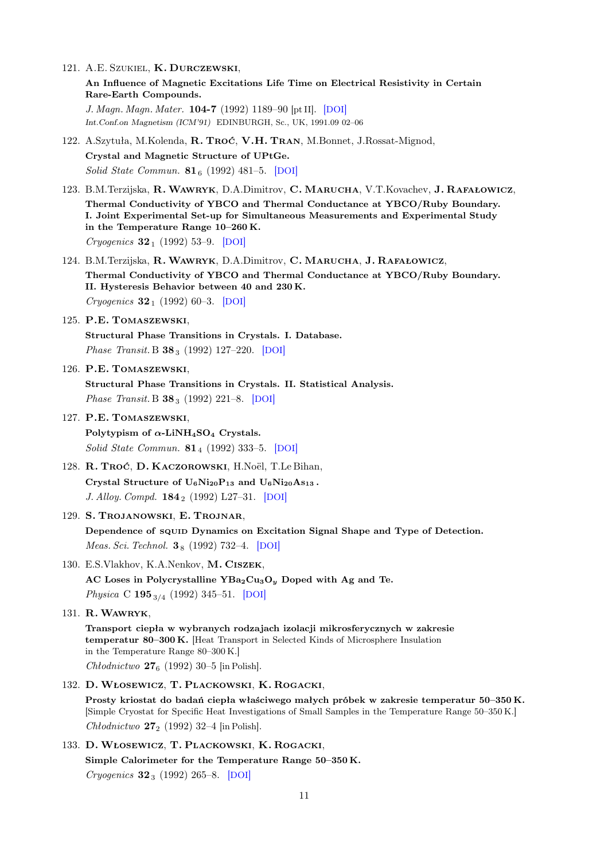121. A.E. Szukiel, K. Durczewski,

An Influence of Magnetic Excitations Life Time on Electrical Resistivity in Certain Rare-Earth Compounds.

J. Magn. Magn. Mater. 104-7 (1992) 1189–90 [pt II]. [[DOI](http://dx.doi.org/10.1016/0304-8853(92)90544-X)] Int.Conf.on Magnetism (ICM'91) EDINBURGH, Sc., UK, 1991.09 02–06

122. A.Szytuła, M.Kolenda, R. Troć, V.H. Tran, M.Bonnet, J.Rossat-Mignod, Crystal and Magnetic Structure of UPtGe.

Solid State Commun.  $81_6$  (1992) 481–5. [[DOI](http://dx.doi.org/10.1016/0038-1098(92)90597-3)]

- 123. B.M.Terzijska, R. Wawryk, D.A.Dimitrov, C. Marucha, V.T.Kovachev, J. Rafałowicz, Thermal Conductivity of YBCO and Thermal Conductance at YBCO/Ruby Boundary. I. Joint Experimental Set-up for Simultaneous Measurements and Experimental Study in the Temperature Range 10–260 K. Cryogenics  $32_1$  (1992) 53-9. [[DOI](http://dx.doi.org/10.1016/0011-2275(92)90345-B)]
- 124. B.M.Terzijska, R. Wawryk, D.A.Dimitrov, C. Marucha, J. Rafałowicz, Thermal Conductivity of YBCO and Thermal Conductance at YBCO/Ruby Boundary. II. Hysteresis Behavior between 40 and 230 K.  $Cryogenesis$  32<sub>1</sub> (1992) 60–3. [[DOI](http://dx.doi.org/10.1016/0011-2275(92)90346-C)]

125. P.E. Tomaszewski,

Structural Phase Transitions in Crystals. I. Database. *Phase Transit.* B  $38_3$  (1992) 127-220. [[DOI](http://dx.doi.org/10.1080/01411599208222899)]

126. P.E. Tomaszewski,

Structural Phase Transitions in Crystals. II. Statistical Analysis. *Phase Transit.* B  $38_3$  (1992) 221–8. [[DOI](http://dx.doi.org/10.1080/01411599208222900)]

127. P.E. Tomaszewski,

Polytypism of  $\alpha$ -LiNH<sub>4</sub>SO<sub>4</sub> Crystals. Solid State Commun.  $81_4$  (1992) 333–5. [[DOI](http://dx.doi.org/10.1016/0038-1098(92)90821-P)]

- 128. R. Troć, D. Kaczorowski, H.Noël, T.Le Bihan, Crystal Structure of  $U_6Ni_{20}P_{13}$  and  $U_6Ni_{20}As_{13}$ . J. Alloy. Compd. 184<sup>2</sup> (1992) L27–31. [[DOI](http://dx.doi.org/10.1016/0925-8388(92)90492-R)]
- 129. S. Trojanowski, E. Trojnar, Dependence of squid Dynamics on Excitation Signal Shape and Type of Detection. *Meas. Sci. Technol.*  $3_8$  (1992) 732–4. [[DOI](http://dx.doi.org/10.1088/0957-0233/3/8/009)]
- 130. E.S.Vlakhov, K.A.Nenkov, M. Ciszek,

AC Loses in Polycrystalline  $YBa<sub>2</sub>Cu<sub>3</sub>O<sub>y</sub>$  Doped with Ag and Te. Physica C 195<sup>3</sup>/<sup>4</sup> (1992) 345–51. [[DOI](http://dx.doi.org/10.1016/0921-4534(92)90359-K)]

131. R. Wawryk,

Transport ciepła w wybranych rodzajach izolacji mikrosferycznych w zakresie temperatur 80–300 K. [Heat Transport in Selected Kinds of Microsphere Insulation in the Temperature Range 80–300 K.] Chłodnictwo  $27<sub>6</sub>$  (1992) 30–5 [in Polish].

132. D. Włosewicz, T. Plackowski, K. Rogacki,

Prosty kriostat do badań ciepła właściwego małych próbek w zakresie temperatur 50–350 K. [Simple Cryostat for Specific Heat Investigations of Small Samples in the Temperature Range 50–350 K.] Chłodnictwo  $27_2$  (1992) 32–4 [in Polish].

133. D. Włosewicz, T. Plackowski, K. Rogacki, Simple Calorimeter for the Temperature Range 50–350 K. Cryogenics  $32_3$  (1992) 265–8. [[DOI](http://dx.doi.org/10.1016/0011-2275(92)90363-F)]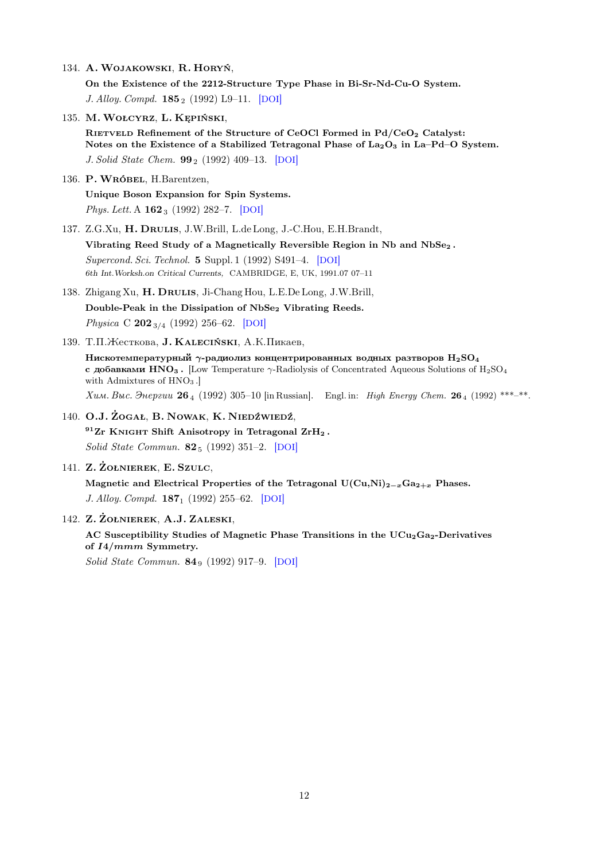134. A. Wojakowski, R. Horyń,

On the Existence of the 2212-Structure Type Phase in Bi-Sr-Nd-Cu-O System. J. Alloy. Compd. **185** 2 (1992) L9–11. [[DOI](http://dx.doi.org/10.1016/0925-8388(92)90467-N)]

135. M. Wołcyrz, L. Kępiński,

RIETVELD Refinement of the Structure of CeOCl Formed in Pd/CeO<sub>2</sub> Catalyst: Notes on the Existence of a Stabilized Tetragonal Phase of  $La_2O_3$  in La–Pd–O System. J. Solid State Chem. **99**<sub>2</sub> (1992) 409–13. [[DOI](http://dx.doi.org/10.1016/0022-4596(92)90330-X)]

- 136. P. Wróbel, H.Barentzen, Unique Boson Expansion for Spin Systems. Phys. Lett. A  $162_3$  (1992) 282–7. [[DOI](http://dx.doi.org/10.1016/0375-9601(92)90448-U)]
- 137. Z.G.Xu, H. Drulis, J.W.Brill, L.de Long, J.-C.Hou, E.H.Brandt, Vibrating Reed Study of a Magnetically Reversible Region in Nb and NbSe<sub>2</sub>. Supercond. Sci. Technol. 5 Suppl. 1 (1992) S491–4. [[DOI](http://dx.doi.org/10.1088/0953-2048/5/1S/114)] 6th Int.Worksh.on Critical Currents, CAMBRIDGE, E, UK, 1991.07 07–11
- 138. Zhigang Xu, H. DRULIS, Ji-Chang Hou, L.E.De Long, J.W.Brill, Double-Peak in the Dissipation of NbSe<sub>2</sub> Vibrating Reeds. Physica C  $202_{3/4}$  (1992) 256–62. [[DOI](http://dx.doi.org/10.1016/0921-4534(92)90168-C)]
- 139. Т.П. Жесткова, **J. KALECIŃSKI**, A.K. Пикаев,
	- Нискотемпературный  $\gamma$ -радиолиз концентрированных водных разтворов  $H_2SO_4$ с добавками  $HNO_3$ . [Low Temperature  $\gamma$ -Radiolysis of Concentrated Aqueous Solutions of H<sub>2</sub>SO<sub>4</sub> with Admixtures of  $HNO<sub>3</sub>$ .

 $X$ им. Выс. Энергии 26<sub>4</sub> (1992) 305-10 [in Russian]. Engl. in: High Energy Chem. 26<sub>4</sub> (1992) \*\*\*<sub>-</sub>\*\*.

- 140. O.J. Żogał, B. Nowak, K. Niedźwiedź,  $^{91}Zr$  KNIGHT Shift Anisotropy in Tetragonal  $ZrH_2$ . Solid State Commun. 82<sup>5</sup> (1992) 351–2. [[DOI](http://dx.doi.org/10.1016/0038-1098(92)90366-H)]
- 141. Z. Żołnierek, E. Szulc,

Magnetic and Electrical Properties of the Tetragonal  $U(Cu,Ni)_{2-x}Ga_{2+x}$  Phases. J. Alloy. Compd. **187**<sub>1</sub> (1992) 255–62. [[DOI](http://dx.doi.org/10.1016/0925-8388(92)90540-P)]

142. Z. Żołnierek, A.J. Zaleski,

AC Susceptibility Studies of Magnetic Phase Transitions in the UCu<sub>2</sub>Ga<sub>2</sub>-Derivatives of  $I4/mmm$  Symmetry.

Solid State Commun.  $84_9$  (1992) 917–9. [[DOI](http://dx.doi.org/10.1016/0038-1098(92)90458-L)]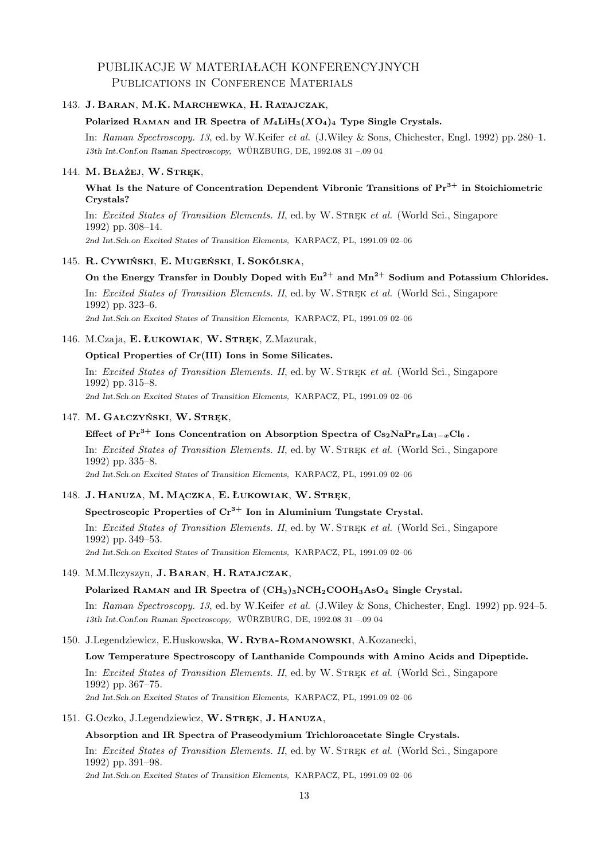# PUBLIKACJE W MATERIAŁACH KONFERENCYJNYCH PUBLICATIONS IN CONFERENCE MATERIALS

## 143. J. Baran, M.K. Marchewka, H. Ratajczak,

### Polarized RAMAN and IR Spectra of  $M_4LiH_3(XO_4)_4$  Type Single Crystals.

In: Raman Spectroscopy. 13, ed. by W.Keifer et al. (J.Wiley & Sons, Chichester, Engl. 1992) pp. 280–1. 13th Int.Conf.on Raman Spectroscopy, WÜRZBURG, DE, 1992.08 31 –.09 04

### 144. M. Błażej, W. Stręk,

## What Is the Nature of Concentration Dependent Vibronic Transitions of  $Pr<sup>3+</sup>$  in Stoichiometric Crystals?

In: Excited States of Transition Elements. II, ed. by W. STREK et al. (World Sci., Singapore 1992) pp. 308–14.

2nd Int.Sch.on Excited States of Transition Elements, KARPACZ, PL, 1991.09 02–06

#### 145. R. Cywiński, E. Mugeński, I. Sokólska,

## On the Energy Transfer in Doubly Doped with  $Eu^{2+}$  and  $Mn^{2+}$  Sodium and Potassium Chlorides.

In: Excited States of Transition Elements. II, ed. by W. STREK et al. (World Sci., Singapore 1992) pp. 323–6.

2nd Int.Sch.on Excited States of Transition Elements, KARPACZ, PL, 1991.09 02–06

## 146. M.Czaja, E. ŁUKOWIAK, W. STREK, Z.Mazurak,

#### Optical Properties of Cr(III) Ions in Some Silicates.

In: Excited States of Transition Elements. II, ed. by W. STREK et al. (World Sci., Singapore 1992) pp. 315–8.

2nd Int.Sch.on Excited States of Transition Elements, KARPACZ, PL, 1991.09 02–06

#### 147. M. Gałczyński, W. Stręk,

## Effect of  $Pr^{3+}$  Ions Concentration on Absorption Spectra of  $Cs_2NaPr_xLa_{1-x}Cl_6$ .

In: Excited States of Transition Elements. II, ed. by W. STREK et al. (World Sci., Singapore 1992) pp. 335–8.

2nd Int.Sch.on Excited States of Transition Elements, KARPACZ, PL, 1991.09 02–06

#### 148. J. Hanuza, M. Mączka, E. Łukowiak, W. Stręk,

## Spectroscopic Properties of  $Cr^{3+}$  Ion in Aluminium Tungstate Crystal.

In: Excited States of Transition Elements. II, ed. by W. STREK et al. (World Sci., Singapore 1992) pp. 349–53. 2nd Int.Sch.on Excited States of Transition Elements, KARPACZ, PL, 1991.09 02–06

## 149. M.M.Ilczyszyn, J. BARAN, H. RATAJCZAK,

## Polarized Raman and IR Spectra of (CH3)3NCH2COOH3AsO<sup>4</sup> Single Crystal.

In: Raman Spectroscopy. 13, ed. by W.Keifer et al. (J.Wiley & Sons, Chichester, Engl. 1992) pp. 924–5. 13th Int.Conf.on Raman Spectroscopy, WÜRZBURG, DE, 1992.08 31 –.09 04

#### 150. J.Legendziewicz, E.Huskowska, W. Ryba-Romanowski, A.Kozanecki,

## Low Temperature Spectroscopy of Lanthanide Compounds with Amino Acids and Dipeptide.

In: Excited States of Transition Elements. II, ed. by W. STREK et al. (World Sci., Singapore 1992) pp. 367–75.

2nd Int.Sch.on Excited States of Transition Elements, KARPACZ, PL, 1991.09 02–06

#### 151. G.Oczko, J.Legendziewicz, W. STREK, J. HANUZA,

### Absorption and IR Spectra of Praseodymium Trichloroacetate Single Crystals.

In: Excited States of Transition Elements. II, ed. by W. STREK et al. (World Sci., Singapore 1992) pp. 391–98.

2nd Int.Sch.on Excited States of Transition Elements, KARPACZ, PL, 1991.09 02–06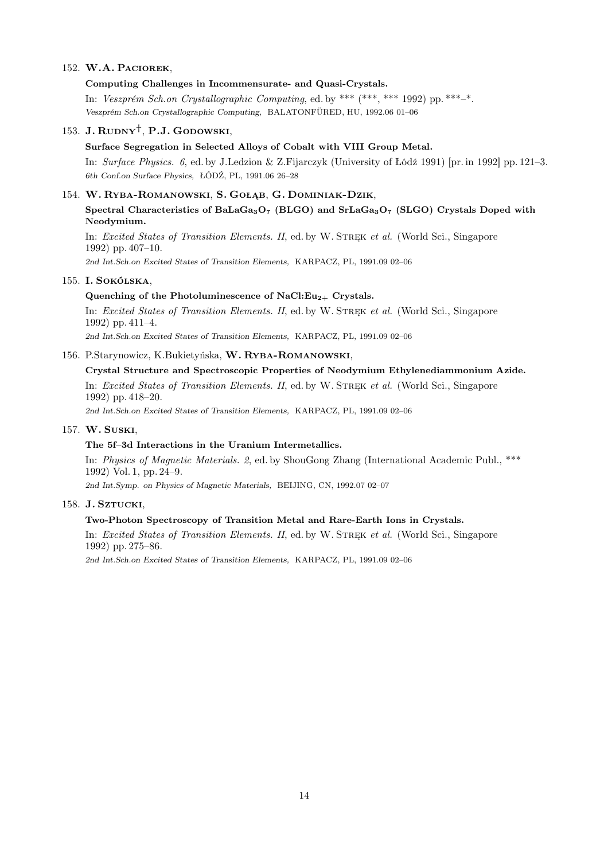### 152. W.A. Paciorek,

### Computing Challenges in Incommensurate- and Quasi-Crystals.

In: Veszprém Sch.on Crystallographic Computing, ed. by \*\*\*  $(***, *** 1992)$  pp. \*\*\*-\*. Veszprém Sch.on Crystallographic Computing, BALATONFÜRED, HU, 1992.06 01–06

## 153. J.  $\text{RuDNY}^{\dagger}$ , P.J. Godowski,

### Surface Segregation in Selected Alloys of Cobalt with VIII Group Metal.

In: Surface Physics. 6, ed. by J.Ledzion & Z.Fijarczyk (University of Łódź 1991) [pr. in 1992] pp. 121–3. 6th Conf.on Surface Physics, ŁÓDŹ, PL, 1991.06 26–28

#### 154. W. Ryba-Romanowski, S. Gołąb, G. Dominiak-Dzik,

## Spectral Characteristics of BaLaGa<sub>3</sub>O<sub>7</sub> (BLGO) and SrLaGa<sub>3</sub>O<sub>7</sub> (SLGO) Crystals Doped with Neodymium.

In: Excited States of Transition Elements. II, ed. by W. STREK et al. (World Sci., Singapore 1992) pp. 407–10.

2nd Int.Sch.on Excited States of Transition Elements, KARPACZ, PL, 1991.09 02–06

### 155. I. Sokólska,

#### Quenching of the Photoluminescence of NaCl: $Eu_{2+}$  Crystals.

In: Excited States of Transition Elements. II, ed. by W. STREK et al. (World Sci., Singapore 1992) pp. 411–4.

2nd Int.Sch.on Excited States of Transition Elements, KARPACZ, PL, 1991.09 02–06

#### 156. P.Starynowicz, K.Bukietyńska, W. Ryba-Romanowski,

## Crystal Structure and Spectroscopic Properties of Neodymium Ethylenediammonium Azide.

In: Excited States of Transition Elements. II, ed. by W. STREK et al. (World Sci., Singapore 1992) pp. 418–20.

2nd Int.Sch.on Excited States of Transition Elements, KARPACZ, PL, 1991.09 02–06

## 157. W. Suski,

#### The 5f–3d Interactions in the Uranium Intermetallics.

In: Physics of Magnetic Materials. 2, ed. by ShouGong Zhang (International Academic Publ., \*\*\* 1992) Vol. 1, pp. 24–9.

2nd Int.Symp. on Physics of Magnetic Materials, BEIJING, CN, 1992.07 02–07

#### 158. J. SZTUCKI,

#### Two-Photon Spectroscopy of Transition Metal and Rare-Earth Ions in Crystals.

In: Excited States of Transition Elements. II, ed. by W. STREK et al. (World Sci., Singapore 1992) pp. 275–86.

2nd Int.Sch.on Excited States of Transition Elements, KARPACZ, PL, 1991.09 02–06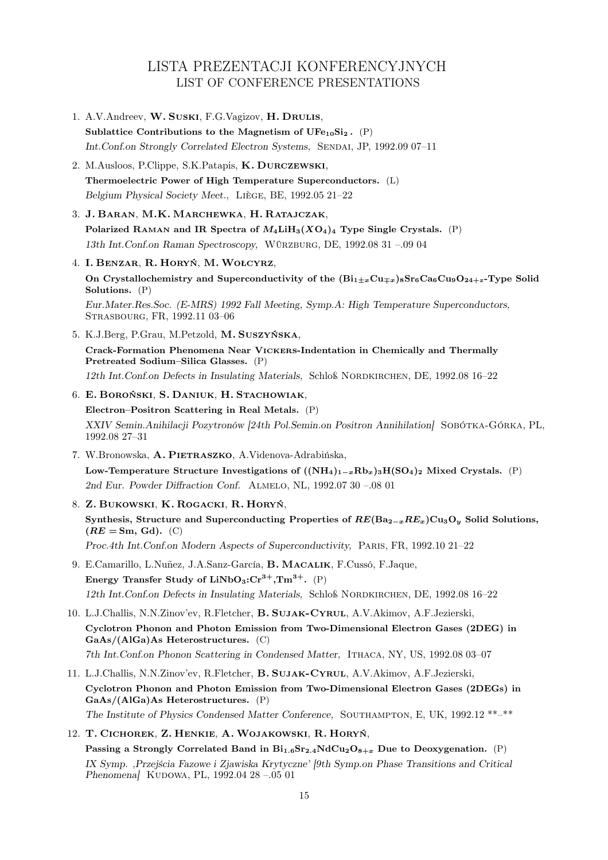# LISTA PREZENTACJI KONFERENCYJNYCH LIST OF CONFERENCE PRESENTATIONS

1. A.V.Andreev, W. Suski, F.G.Vagizov, H. Drulis, Sublattice Contributions to the Magnetism of  $UFe_{10}Si_2$ . (P) Int.Conf.on Strongly Correlated Electron Systems, Sendai, JP, 1992.09 07–11 2. M.Ausloos, P.Clippe, S.K.Patapis, K. Durczewski, Thermoelectric Power of High Temperature Superconductors. (L) Belgium Physical Society Meet., Liège, BE, 1992.05 21–22 3. J. Baran, M.K. Marchewka, H. Ratajczak, Polarized RAMAN and IR Spectra of  $M_4LiH_3(XO_4)_4$  Type Single Crystals. (P) 13th Int.Conf.on Raman Spectroscopy, Würzburg, DE, 1992.08 31 –.09 04 4. I. Benzar, R. Horyń, M. Wołcyrz, On Crystallochemistry and Superconductivity of the  $(Bi_{1\pm x}Cu_{\pm x})_8Sr_6Ca_6Cu_9O_{24+z}$ -Type Solid Solutions. (P) Eur.Mater.Res.Soc. (E-MRS) 1992 Fall Meeting, Symp.A: High Temperature Superconductors, Strasbourg, FR, 1992.11 03–06 5. K.J.Berg, P.Grau, M.Petzold, M. Suszyńska, Crack-Formation Phenomena Near Vickers-Indentation in Chemically and Thermally Pretreated Sodium–Silica Glasses. (P) 12th Int.Conf.on Defects in Insulating Materials, Schloß Nordkirchen, DE, 1992.08 16–22 6. E. Boroński, S. Daniuk, H. Stachowiak, Electron–Positron Scattering in Real Metals. (P) XXIV Semin.Anihilacji Pozytronów [24th Pol.Semin.on Positron Annihilation] Sobótka-Górka, PL, 1992.08 27–31 7. W.Bronowska, A. Pietraszko, A.Videnova-Adrabińska, Low-Temperature Structure Investigations of  $((NH_4)_{1-x}Rb_x)_3H(SO_4)_2$  Mixed Crystals. (P) 2nd Eur. Powder Diffraction Conf. Almelo, NL, 1992.07 30 –.08 01 8. Z. Bukowski, K. Rogacki, R. Horyń, Synthesis, Structure and Superconducting Properties of  $RE(Ba_{2-x}RE_x)Cu_3O_y$  Solid Solutions,  $(RE = \text{Sm}, \text{Gd}).$  (C) Proc.4th Int.Conf.on Modern Aspects of Superconductivity, Paris, FR, 1992.10 21–22 9. E.Camarillo, L.Nuñez, J.A.Sanz-García, B. Macalik, F.Cussó, F.Jaque, Energy Transfer Study of  $LiNbO<sub>3</sub>:Cr<sup>3+</sup>, Tm<sup>3+</sup>.$  (P) 12th Int.Conf.on Defects in Insulating Materials, Schloß Nordkirchen, DE, 1992.08 16–22 10. L.J.Challis, N.N.Zinov'ev, R.Fletcher, B. Sujak-Cyrul, A.V.Akimov, A.F.Jezierski, Cyclotron Phonon and Photon Emission from Two-Dimensional Electron Gases (2DEG) in  $GaAs/(AlGa)As$  Heterostructures. (C) 7th Int.Conf.on Phonon Scattering in Condensed Matter, Ithaca, NY, US, 1992.08 03–07 11. L.J.Challis, N.N.Zinov'ev, R.Fletcher, B. Sujak-Cyrul, A.V.Akimov, A.F.Jezierski, Cyclotron Phonon and Photon Emission from Two-Dimensional Electron Gases (2DEGs) in  $GaAs/(AlGa)As$  Heterostructures. (P) The Institute of Physics Condensed Matter Conference, SOUTHAMPTON, E, UK, 1992.12 \*\*-\*\* 12. T. Cichorek, Z. Henkie, A. Wojakowski, R. Horyń, Passing a Strongly Correlated Band in  $Bi_{1,6}Sr_{2,4}NdCu_2O_{8+x}$  Due to Deoxygenation. (P)

IX Symp. ,Przejścia Fazowe i Zjawiska Krytyczne' [9th Symp.on Phase Transitions and Critical Phenomena] KUDOWA, PL, 1992.04 28 -.05 01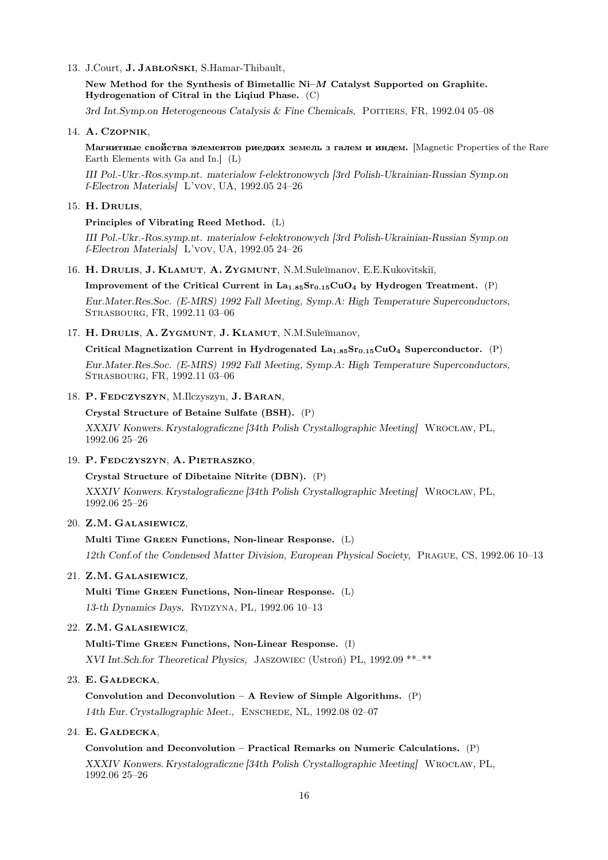#### 13. J.Court, J. Jabłoński, S.Hamar-Thibault,

New Method for the Synthesis of Bimetallic Ni–M Catalyst Supported on Graphite. Hydrogenation of Citral in the Liqiud Phase. (C)

3rd Int.Symp.on Heterogeneous Catalysis & Fine Chemicals, POITIERS, FR, 1992.04 05-08

#### 14. A. Czopnik,

Maгнитные свойства элементов риедких земель з галем и индем. [Magnetic Properties of the Rare Earth Elements with Ga and In.] (L)

III Pol.-Ukr.-Ros.symp.nt. materialow f-elektronowych [3rd Polish-Ukrainian-Russian Symp.on f-Electron Materials] L'vov, UA, 1992.05 24–26

#### 15. H. Drulis,

#### Principles of Vibrating Reed Method. (L)

III Pol.-Ukr.-Ros.symp.nt. materialow f-elektronowych [3rd Polish-Ukrainian-Russian Symp.on f-Electron Materials] L'vov, UA, 1992.05 24–26

16. H. DRULIS, J. KLAMUT, A. ZYGMUNT, N.M.Suleĭmanov, E.E.Kukovitskiĭ,

## Improvement of the Critical Current in  $La<sub>1.85</sub>Sr<sub>0.15</sub>CuO<sub>4</sub>$  by Hydrogen Treatment. (P)

Eur.Mater.Res.Soc. (E-MRS) 1992 Fall Meeting, Symp.A: High Temperature Superconductors, Strasbourg, FR, 1992.11 03–06

### 17. H. DRULIS, A. ZYGMUNT, J. KLAMUT, N.M.Suleĭmanov,

Critical Magnetization Current in Hydrogenated  $\text{La}_{1.85}\text{Sr}_{0.15}\text{CuO}_4$  Superconductor. (P)

Eur.Mater.Res.Soc. (E-MRS) 1992 Fall Meeting, Symp.A: High Temperature Superconductors, Strasbourg, FR, 1992.11 03–06

## 18. P. Fedczyszyn, M.Ilczyszyn, J. Baran,

#### Crystal Structure of Betaine Sulfate (BSH). (P)

XXXIV Konwers. Krystalograficzne [34th Polish Crystallographic Meeting] Wrocław, PL, 1992.06 25–26

#### 19. P. Fedczyszyn, A. Pietraszko,

## Crystal Structure of Dibetaine Nitrite (DBN). (P)

XXXIV Konwers. Krystalograficzne [34th Polish Crystallographic Meeting] Wrocław, PL, 1992.06 25–26

#### 20. Z.M. Galasiewicz,

### Multi Time Green Functions, Non-linear Response. (L)

12th Conf.of the Condensed Matter Division, European Physical Society, Prague, CS, 1992.06 10–13

## 21. Z.M. Galasiewicz,

Multi Time Green Functions, Non-linear Response. (L) 13-th Dynamics Days, Rydzyna, PL, 1992.06 10–13

#### 22. Z.M. Galasiewicz,

Multi-Time Green Functions, Non-Linear Response. (I) XVI Int.Sch.for Theoretical Physics, Jaszowiec (Ustroń) PL, 1992.09 \*\*–\*\*

## 23. E. Gałdecka,

Convolution and Deconvolution – A Review of Simple Algorithms.  $(P)$ 14th Eur. Crystallographic Meet., Enschede, NL, 1992.08 02–07

## 24. E. Gałdecka,

Convolution and Deconvolution – Practical Remarks on Numeric Calculations. (P) XXXIV Konwers. Krystalograficzne [34th Polish Crystallographic Meeting] Wrocław, PL, 1992.06 25–26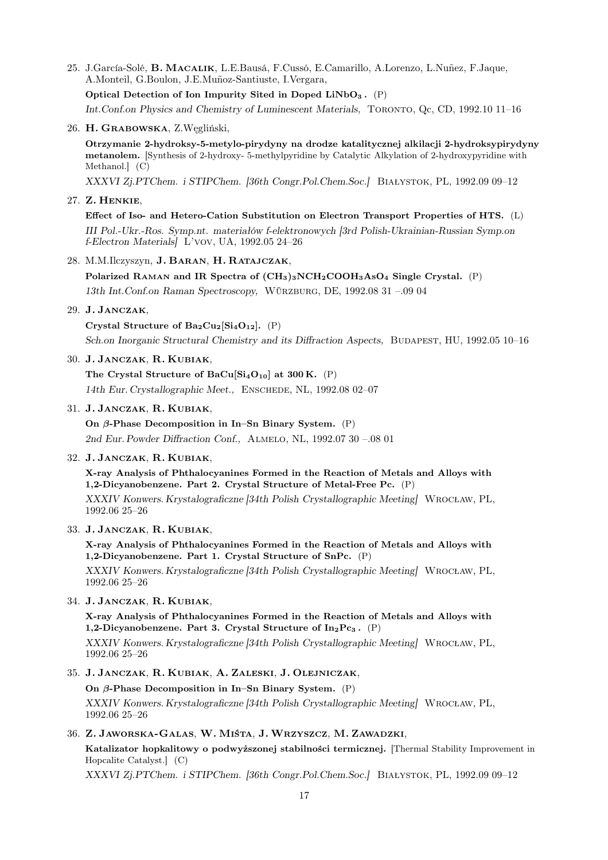25. J.García-Solé, B. Macalik, L.E.Bausá, F.Cussó, E.Camarillo, A.Lorenzo, L.Nuñez, F.Jaque, A.Monteil, G.Boulon, J.E.Muñoz-Santiuste, I.Vergara,

Optical Detection of Ion Impurity Sited in Doped LiNbO<sub>3</sub>.  $(P)$ 

Int.Conf.on Physics and Chemistry of Luminescent Materials, Toronto, Qc, CD, 1992.10 11–16

#### 26. H. Grabowska, Z.Węgliński,

Otrzymanie 2-hydroksy-5-metylo-pirydyny na drodze katalitycznej alkilacji 2-hydroksypirydyny metanolem. [Synthesis of 2-hydroxy- 5-methylpyridine by Catalytic Alkylation of 2-hydroxypyridine with Methanol.] (C)

XXXVI Zj.PTChem. i STIPChem. [36th Congr.Pol.Chem.Soc.] Białystok, PL, 1992.09 09–12

#### 27. Z. Henkie,

Effect of Iso- and Hetero-Cation Substitution on Electron Transport Properties of HTS. (L) III Pol.-Ukr.-Ros. Symp.nt. materiałów f-elektronowych [3rd Polish-Ukrainian-Russian Symp.on f-Electron Materials] L'vov, UA, 1992.05 24–26

#### 28. M.M.Ilczyszyn, J. Baran, H. Ratajczak,

Polarized RAMAN and IR Spectra of  $(CH_3)_3NCH_2COOH_3AsO_4$  Single Crystal. (P) 13th Int.Conf.on Raman Spectroscopy, Würzburg, DE, 1992.08 31 –.09 04

## 29. J. Janczak,

Crystal Structure of  $Ba_2Cu_2[Si_4O_{12}]$ . (P)

Sch.on Inorganic Structural Chemistry and its Diffraction Aspects, BUDAPEST, HU, 1992.05 10-16

#### 30. J. Janczak, R. Kubiak,

The Crystal Structure of  $BaCu[Si<sub>4</sub>O<sub>10</sub>]$  at 300 K. (P) 14th Eur. Crystallographic Meet., Enschede, NL, 1992.08 02–07

#### 31. J. Janczak, R. Kubiak,

On  $\beta$ -Phase Decomposition in In–Sn Binary System. (P) 2nd Eur. Powder Diffraction Conf., Almelo, NL, 1992.07 30 –.08 01

#### 32. J. Janczak, R. Kubiak,

X-ray Analysis of Phthalocyanines Formed in the Reaction of Metals and Alloys with 1,2-Dicyanobenzene. Part 2. Crystal Structure of Metal-Free Pc. (P)

XXXIV Konwers. Krystalograficzne [34th Polish Crystallographic Meeting] Wrocław, PL, 1992.06 25–26

### 33. J. Janczak, R. Kubiak,

X-ray Analysis of Phthalocyanines Formed in the Reaction of Metals and Alloys with 1,2-Dicyanobenzene. Part 1. Crystal Structure of SnPc. (P)

XXXIV Konwers. Krystalograficzne [34th Polish Crystallographic Meeting] Wrocław, PL, 1992.06 25–26

## 34. J. Janczak, R. Kubiak,

X-ray Analysis of Phthalocyanines Formed in the Reaction of Metals and Alloys with 1,2-Dicyanobenzene. Part 3. Crystal Structure of  $In_2Pc_3$ . (P)

XXXIV Konwers. Krystalograficzne [34th Polish Crystallographic Meeting] Wrocław, PL, 1992.06 25–26

#### 35. J. Janczak, R. Kubiak, A. Zaleski, J. Olejniczak,

On  $\beta$ -Phase Decomposition in In–Sn Binary System. (P)

XXXIV Konwers. Krystalograficzne [34th Polish Crystallographic Meeting] Wrocław, PL, 1992.06 25–26

## 36. Z. Jaworska-Galas, W. Miśta, J. Wrzyszcz, M. Zawadzki,

Katalizator hopkalitowy o podwyższonej stabilności termicznej. [Thermal Stability Improvement in Hopcalite Catalyst.] (C)

XXXVI Zj.PTChem. i STIPChem. [36th Congr.Pol.Chem.Soc.] Białystok, PL, 1992.09 09–12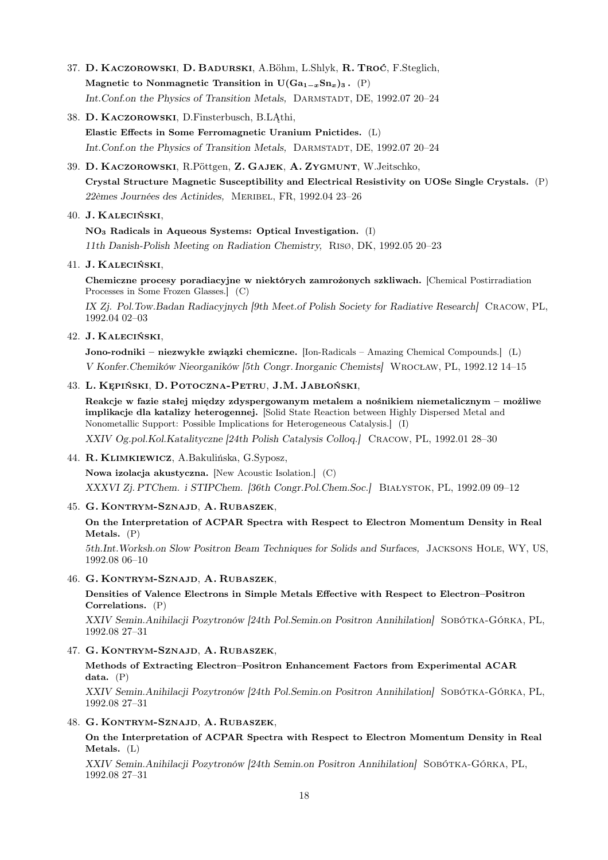- 37. D. Kaczorowski, D. Badurski, A.Böhm, L.Shlyk, R. Troć, F.Steglich, Magnetic to Nonmagnetic Transition in  $U(Ga_{1-x}Sn_{x})_{3}$ . (P) Int.Conf.on the Physics of Transition Metals, DARMSTADT, DE, 1992.07 20-24
- 38. D. Kaczorowski, D.Finsterbusch, B.LĄthi, Elastic Effects in Some Ferromagnetic Uranium Pnictides. (L) Int.Conf.on the Physics of Transition Metals, DARMSTADT, DE, 1992.07 20-24
- 39. D. Kaczorowski, R.Pöttgen, Z. Gajek, A. Zygmunt, W.Jeitschko, Crystal Structure Magnetic Susceptibility and Electrical Resistivity on UOSe Single Crystals. (P) 22èmes Journées des Actinides, Meribel, FR, 1992.04 23–26

## 40. J. Kaleciński,

NO<sup>3</sup> Radicals in Aqueous Systems: Optical Investigation. (I) 11th Danish-Polish Meeting on Radiation Chemistry, Risø, DK, 1992.05 20–23

## 41. J. Kaleciński,

Chemiczne procesy poradiacyjne w niektórych zamrożonych szkliwach. [Chemical Postirradiation Processes in Some Frozen Glasses.] (C)

IX Zj. Pol.Tow.Badan Radiacyjnych [9th Meet.of Polish Society for Radiative Research] Cracow, PL, 1992.04 02–03

## 42. J. Kaleciński,

Jono-rodniki – niezwykłe związki chemiczne. [Ion-Radicals – Amazing Chemical Compounds.] (L) V Konfer.Chemików Nieorganików [5th Congr. Inorganic Chemists] Wrocław, PL, 1992.12 14–15

## 43. L. Kępiński, D. Potoczna-Petru, J.M. Jabłoński,

Reakcje w fazie stałej między zdyspergowanym metalem a nośnikiem niemetalicznym – możliwe implikacje dla katalizy heterogennej. [Solid State Reaction between Highly Dispersed Metal and Nonometallic Support: Possible Implications for Heterogeneous Catalysis.] (I) XXIV Og.pol.Kol.Katalityczne [24th Polish Catalysis Colloq.] Cracow, PL, 1992.01 28–30

44. R. Klimkiewicz, A.Bakulińska, G.Syposz,

Nowa izolacja akustyczna. [New Acoustic Isolation.] (C) XXXVI Zj. PTChem. i STIPChem. [36th Congr.Pol.Chem.Soc.] Białystok, PL, 1992.09 09–12

## 45. G. Kontrym-Sznajd, A. Rubaszek,

## On the Interpretation of ACPAR Spectra with Respect to Electron Momentum Density in Real Metals. (P)

5th.Int.Worksh.on Slow Positron Beam Techniques for Solids and Surfaces, Jacksons Hole, WY, US, 1992.08 06–10

46. G. Kontrym-Sznajd, A. Rubaszek,

Densities of Valence Electrons in Simple Metals Effective with Respect to Electron–Positron Correlations. (P)

XXIV Semin.Anihilacji Pozytronów [24th Pol.Semin.on Positron Annihilation] Sobótka-Górka, PL, 1992.08 27–31

47. G. Kontrym-Sznajd, A. Rubaszek,

Methods of Extracting Electron–Positron Enhancement Factors from Experimental ACAR data. (P)

XXIV Semin.Anihilacji Pozytronów [24th Pol.Semin.on Positron Annihilation] Sobótka-Górka, PL, 1992.08 27–31

48. G. Kontrym-Sznajd, A. Rubaszek,

On the Interpretation of ACPAR Spectra with Respect to Electron Momentum Density in Real Metals. (L)

XXIV Semin.Anihilacji Pozytronów [24th Semin.on Positron Annihilation] Sobótka-Górka, PL, 1992.08 27–31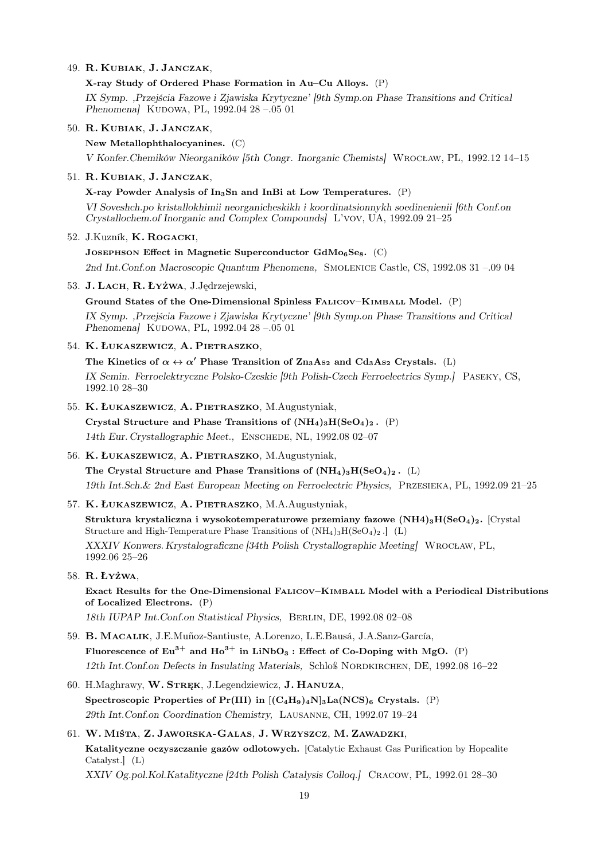### 49. R. Kubiak, J. Janczak,

X-ray Study of Ordered Phase Formation in Au–Cu Alloys. (P) IX Symp. ,Przejścia Fazowe i Zjawiska Krytyczne' [9th Symp.on Phase Transitions and Critical Phenomena] KUDOWA, PL, 1992.04 28 -.05 01

- 50. R. Kubiak, J. Janczak,
	- New Metallophthalocyanines. (C)

V Konfer.Chemików Nieorganików [5th Congr. Inorganic Chemists] Wrocław, PL, 1992.12 14–15

## 51. R. Kubiak, J. Janczak,

X-ray Powder Analysis of  $In<sub>3</sub>Sn$  and InBi at Low Temperatures. (P) VI Soveshch.po kristallokhimii neorganicheskikh i koordinatsionnykh soedinenienii [6th Conf.on Crystallochem.of Inorganic and Complex Compounds] L'vov, UA, 1992.09 21–25

### 52. J.Kuzník, K. Rogacki,

JOSEPHSON Effect in Magnetic Superconductor  $GdMo<sub>6</sub>Se<sub>8</sub>$ . (C) 2nd Int.Conf.on Macroscopic Quantum Phenomena, Smolenice Castle, CS, 1992.08 31 –.09 04

53. J. Lach, R. Łyżwa, J.Jędrzejewski,

Ground States of the One-Dimensional Spinless FALICOV–KIMBALL Model. (P) IX Symp. ,Przejścia Fazowe i Zjawiska Krytyczne' [9th Symp.on Phase Transitions and Critical Phenomena] KUDOWA, PL, 1992.04 28 -.05 01

54. K. Łukaszewicz, A. Pietraszko,

The Kinetics of  $\alpha \leftrightarrow \alpha'$  Phase Transition of  $\text{Zn}_3\text{As}_2$  and  $\text{Cd}_3\text{As}_2$  Crystals. (L) IX Semin. Ferroelektryczne Polsko-Czeskie [9th Polish-Czech Ferroelectrics Symp.] Paseky, CS, 1992.10 28–30

55. K. Łukaszewicz, A. Pietraszko, M.Augustyniak,

Crystal Structure and Phase Transitions of  $(NH_4)_3H(SeO_4)_2$ . (P) 14th Eur. Crystallographic Meet., Enschede, NL, 1992.08 02–07

56. K. Łukaszewicz, A. Pietraszko, M.Augustyniak,

The Crystal Structure and Phase Transitions of  $(NH_4)_3H(SeO_4)_2$ . (L) 19th Int.Sch.& 2nd East European Meeting on Ferroelectric Physics, Przesieka, PL, 1992.09 21–25

57. K. Łukaszewicz, A. Pietraszko, M.A.Augustyniak,

Struktura krystaliczna i wysokotemperaturowe przemiany fazowe  $(NH4)_3H(SeO_4)_2$ . [Crystal Structure and High-Temperature Phase Transitions of  $(NH_4)_3H(SeO_4)_2$ .  $(L)$ XXXIV Konwers. Krystalograficzne [34th Polish Crystallographic Meeting] Wrocław, PL, 1992.06 25–26

58. R. Łyżwa,

Exact Results for the One-Dimensional Falicov–Kimball Model with a Periodical Distributions of Localized Electrons. (P)

18th IUPAP Int.Conf.on Statistical Physics, Berlin, DE, 1992.08 02–08

59. B. Macalik, J.E.Muñoz-Santiuste, A.Lorenzo, L.E.Bausá, J.A.Sanz-García, Fluorescence of  $Eu^{3+}$  and  $Ho^{3+}$  in  $LiNbO_3$ : Effect of Co-Doping with MgO. (P) 12th Int.Conf.on Defects in Insulating Materials, Schloß Nordkirchen, DE, 1992.08 16–22

- 60. H.Maghrawy, W. Stręk, J.Legendziewicz, J. Hanuza, Spectroscopic Properties of Pr(III) in  $[(C_4H_9)_4N]_3La(NCS)_6$  Crystals. (P) 29th Int.Conf.on Coordination Chemistry, Lausanne, CH, 1992.07 19–24
- 61. W. Miśta, Z. Jaworska-Galas, J. Wrzyszcz, M. Zawadzki, Katalityczne oczyszczanie gazów odlotowych. [Catalytic Exhaust Gas Purification by Hopcalite Catalyst.] (L) XXIV Og.pol.Kol.Katalityczne [24th Polish Catalysis Colloq.] Cracow, PL, 1992.01 28–30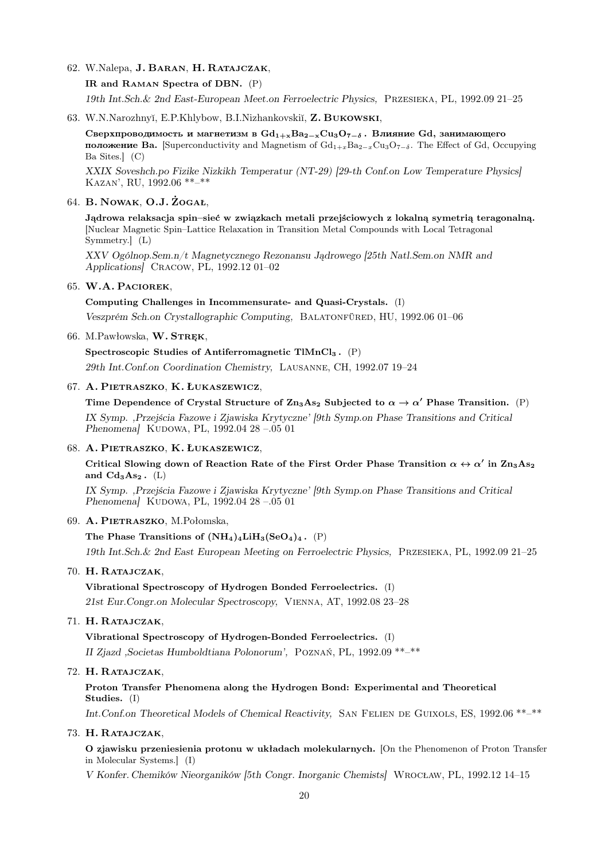62. W.Nalepa, J. Baran, H. Ratajczak,

IR and Raman Spectra of DBN. (P)

19th Int.Sch.& 2nd East-European Meet.on Ferroelectric Physics, Przesieka, PL, 1992.09 21–25

63. W.N.Narozhnyĭ, E.P.Khlybow, B.I.Nizhankovskiĭ, Z. BUKOWSKI,

Сверхпроводимость и магнетизм в  $Gd_{1+x}Ba_{2-x}Cu_3O_{7-\delta}$ . Влияние Gd, занимающего **положение Ва.** [Superconductivity and Magnetism of  $Gd_{1+x}Ba_{2-x}Cu_3O_{7-\delta}$ . The Effect of Gd, Occupying Ba Sites.] (C)

XXIX Soveshch.po Fizike Nizkikh Temperatur (NT-29) [29-th Conf.on Low Temperature Physics] Kazan', RU, 1992.06 \*\*–\*\*

## 64. B. Nowak, O.J. Żogał,

Jądrowa relaksacja spin–sieć w związkach metali przejściowych z lokalną symetrią teragonalną. [Nuclear Magnetic Spin–Lattice Relaxation in Transition Metal Compounds with Local Tetragonal Symmetry.] (L)

XXV Ogólnop.Sem.n/t Magnetycznego Rezonansu Jądrowego [25th Natl.Sem.on NMR and Applications] Cracow, PL, 1992.12 01–02

### 65. W.A. Paciorek,

Computing Challenges in Incommensurate- and Quasi-Crystals. (I)

Veszprém Sch.on Crystallographic Computing, Balatonfüred, HU, 1992.06 01–06

66. M.Pawłowska, W. STRĘK,

Spectroscopic Studies of Antiferromagnetic TlMnCl<sup>3</sup> . (P)

29th Int.Conf.on Coordination Chemistry, Lausanne, CH, 1992.07 19–24

#### 67. A. Pietraszko, K. Łukaszewicz,

Time Dependence of Crystal Structure of  $\text{Zn}_3\text{As}_2$  Subjected to  $\alpha \to \alpha'$  Phase Transition. (P) IX Symp. ,Przejścia Fazowe i Zjawiska Krytyczne' [9th Symp.on Phase Transitions and Critical Phenomena] KUDOWA, PL, 1992.04 28 -.05 01

#### 68. A. Pietraszko, K. Łukaszewicz,

Critical Slowing down of Reaction Rate of the First Order Phase Transition  $\alpha \leftrightarrow \alpha'$  in Zn<sub>3</sub>As<sub>2</sub> and  $Cd<sub>3</sub>As<sub>2</sub>$ . (L)

IX Symp. ,Przejścia Fazowe i Zjawiska Krytyczne' [9th Symp.on Phase Transitions and Critical Phenomena] KUDOWA, PL, 1992.04 28 -.05 01

## 69. A. Pietraszko, M.Połomska,

The Phase Transitions of  $(NH_4)_4LiH_3(SeO_4)_4$ . (P)

19th Int.Sch.& 2nd East European Meeting on Ferroelectric Physics, Przesieka, PL, 1992.09 21–25

70. H. Ratajczak,

Vibrational Spectroscopy of Hydrogen Bonded Ferroelectrics. (I) 21st Eur.Congr.on Molecular Spectroscopy, Vienna, AT, 1992.08 23–28

### 71. H. Ratajczak,

Vibrational Spectroscopy of Hydrogen-Bonded Ferroelectrics. (I) II Zjazd ,Societas Humboldtiana Polonorum', Poznań, PL, 1992.09 \*\*–\*\*

## 72. H. Ratajczak,

Proton Transfer Phenomena along the Hydrogen Bond: Experimental and Theoretical Studies. (I)

Int.Conf.on Theoretical Models of Chemical Reactivity, SAN FELIEN DE GUIXOLS, ES, 1992.06 \*\*-\*\*

## 73. H. Ratajczak,

O zjawisku przeniesienia protonu w układach molekularnych. [On the Phenomenon of Proton Transfer in Molecular Systems.] (I)

V Konfer. Chemików Nieorganików [5th Congr. Inorganic Chemists] Wrocław, PL, 1992.12 14–15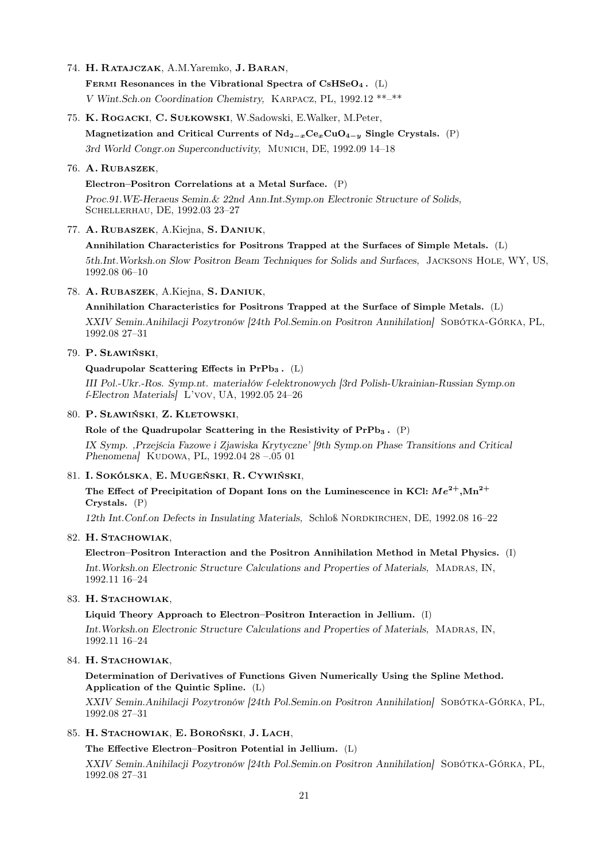74. H. Ratajczak, A.M.Yaremko, J. Baran,

FERMI Resonances in the Vibrational Spectra of  $CsHSeO<sub>4</sub>$ . (L) V Wint.Sch.on Coordination Chemistry, Karpacz, PL, 1992.12 \*\*–\*\*

75. K. Rogacki, C. Sułkowski, W.Sadowski, E.Walker, M.Peter,

Magnetization and Critical Currents of  $Nd_{2-x}Ce_xCuO_{4-y}$  Single Crystals. (P)

3rd World Congr.on Superconductivity, Munich, DE, 1992.09 14–18

### 76. A. Rubaszek,

## Electron–Positron Correlations at a Metal Surface. (P)

Proc.91.WE-Heraeus Semin.& 22nd Ann.Int.Symp.on Electronic Structure of Solids, Schellerhau, DE, 1992.03 23–27

## 77. A. Rubaszek, A.Kiejna, S. Daniuk,

### Annihilation Characteristics for Positrons Trapped at the Surfaces of Simple Metals. (L)

5th.Int.Worksh.on Slow Positron Beam Techniques for Solids and Surfaces, Jacksons Hole, WY, US, 1992.08 06–10

### 78. A. Rubaszek, A.Kiejna, S. Daniuk,

Annihilation Characteristics for Positrons Trapped at the Surface of Simple Metals. (L)

XXIV Semin.Anihilacji Pozytronów [24th Pol.Semin.on Positron Annihilation] Sobótka-Górka, PL, 1992.08 27–31

## 79. P. Sławiński,

#### Quadrupolar Scattering Effects in  $PrPb_3$ . (L)

III Pol.-Ukr.-Ros. Symp.nt. materiałów f-elektronowych [3rd Polish-Ukrainian-Russian Symp.on f-Electron Materials] L'vov, UA, 1992.05 24–26

### 80. P. Sławiński, Z. Kletowski,

#### Role of the Quadrupolar Scattering in the Resistivity of  $PrPb_3$ .  $(P)$

IX Symp. ,Przejścia Fazowe i Zjawiska Krytyczne' [9th Symp.on Phase Transitions and Critical Phenomena] KUDOWA, PL, 1992.04 28 -.05 01

#### 81. I. Sokólska, E. Mugeński, R. Cywiński,

The Effect of Precipitation of Dopant Ions on the Luminescence in KCl:  $Me^{2+}$ , Mn<sup>2+</sup> Crystals. (P)

12th Int.Conf.on Defects in Insulating Materials, Schloß Nordkirchen, DE, 1992.08 16–22

## 82. H. STACHOWIAK,

Electron–Positron Interaction and the Positron Annihilation Method in Metal Physics. (I) Int.Worksh.on Electronic Structure Calculations and Properties of Materials, Madras, IN, 1992.11 16–24

#### 83. H. STACHOWIAK.

## Liquid Theory Approach to Electron–Positron Interaction in Jellium. (I)

Int.Worksh.on Electronic Structure Calculations and Properties of Materials, Madras, IN, 1992.11 16–24

## 84. H. STACHOWIAK,

## Determination of Derivatives of Functions Given Numerically Using the Spline Method. Application of the Quintic Spline. (L)

XXIV Semin.Anihilacji Pozytronów [24th Pol.Semin.on Positron Annihilation] Sobótka-Górka, PL, 1992.08 27–31

## 85. H. Stachowiak, E. Boroński, J. Lach,

The Effective Electron–Positron Potential in Jellium. (L)

XXIV Semin.Anihilacji Pozytronów [24th Pol.Semin.on Positron Annihilation] Sobótka-Górka, PL, 1992.08 27–31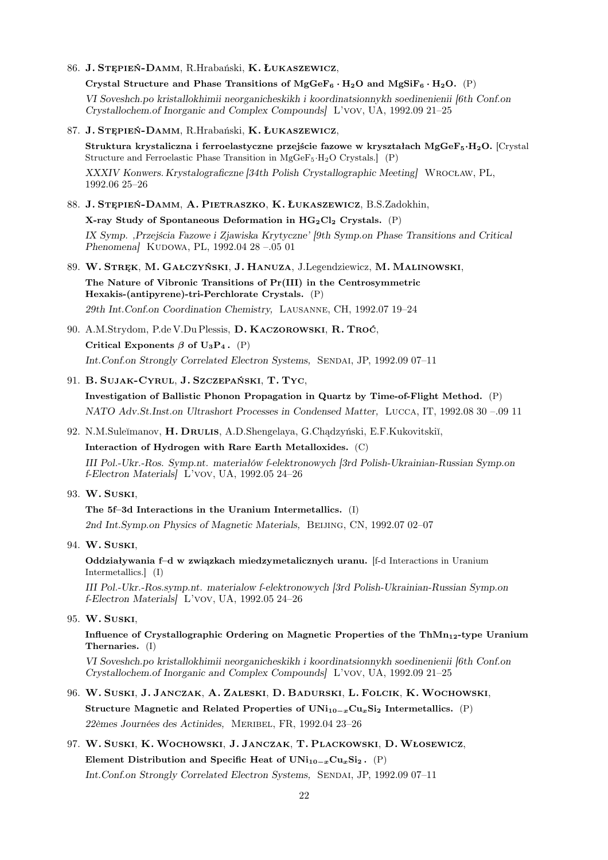86. J. Stępień-Damm, R.Hrabański, K. Łukaszewicz,

Crystal Structure and Phase Transitions of  $MgGeF_6 \cdot H_2O$  and  $MgSiF_6 \cdot H_2O$ . (P) VI Soveshch.po kristallokhimii neorganicheskikh i koordinatsionnykh soedinenienii [6th Conf.on Crystallochem.of Inorganic and Complex Compounds] L'vov, UA, 1992.09 21–25

- 87. J. Stępień-Damm, R.Hrabański, K. Łukaszewicz, Struktura krystaliczna i ferroelastyczne przejście fazowe w kryształach MgGe $F_5 \cdot H_2O$ . [Crystal] Structure and Ferroelastic Phase Transition in MgGeF5·H2O Crystals.] (P) XXXIV Konwers. Krystalograficzne [34th Polish Crystallographic Meeting] Wrocław, PL, 1992.06 25–26
- 88. J. Stępień-Damm, A. Pietraszko, K. Łukaszewicz, B.S.Zadokhin,

X-ray Study of Spontaneous Deformation in  $HG_2Cl_2$  Crystals. (P) IX Symp. ,Przejścia Fazowe i Zjawiska Krytyczne' [9th Symp.on Phase Transitions and Critical Phenomena] KUDOWA, PL, 1992.04 28 -.05 01

- 89. W. Stręk, M. Gałczyński, J. Hanuza, J.Legendziewicz, M. Malinowski, The Nature of Vibronic Transitions of Pr(III) in the Centrosymmetric Hexakis-(antipyrene)-tri-Perchlorate Crystals. (P) 29th Int.Conf.on Coordination Chemistry, Lausanne, CH, 1992.07 19–24
- 90. A.M.Strydom, P.de V.Du Plessis, D. Kaczorowski, R. Troć,
	- Critical Exponents  $\beta$  of U<sub>3</sub>P<sub>4</sub>. (P) Int.Conf.on Strongly Correlated Electron Systems, Sendai, JP, 1992.09 07–11
- 91. B. Sujak-Cyrul, J. Szczepański, T. Tyc,
	- Investigation of Ballistic Phonon Propagation in Quartz by Time-of-Flight Method. (P) NATO Adv.St.Inst.on Ultrashort Processes in Condensed Matter, Lucca, IT, 1992.08 30 –.09 11
- 92. N.M.Suleĭmanov, H. DRULIS, A.D.Shengelaya, G.Chadzyński, E.F.Kukovitskiĭ,

Interaction of Hydrogen with Rare Earth Metalloxides. (C)

III Pol.-Ukr.-Ros. Symp.nt. materiałów f-elektronowych [3rd Polish-Ukrainian-Russian Symp.on f-Electron Materials] L'vov, UA, 1992.05 24–26

- 93. W. Suski,
	- The 5f–3d Interactions in the Uranium Intermetallics. (I)

2nd Int.Symp.on Physics of Magnetic Materials, Beijing, CN, 1992.07 02–07

94. W. Suski,

Oddziaływania f–d w związkach miedzymetalicznych uranu. [f-d Interactions in Uranium Intermetallics.] (I)

III Pol.-Ukr.-Ros.symp.nt. materialow f-elektronowych [3rd Polish-Ukrainian-Russian Symp.on f-Electron Materials] L'vov, UA, 1992.05 24–26

95. W. Suski,

Influence of Crystallographic Ordering on Magnetic Properties of the Th $Mn_{12}$ -type Uranium Thernaries. (I)

VI Soveshch.po kristallokhimii neorganicheskikh i koordinatsionnykh soedinenienii [6th Conf.on Crystallochem.of Inorganic and Complex Compounds] L'vov, UA, 1992.09 21–25

- 96. W. Suski, J. Janczak, A. Zaleski, D. Badurski, L. Folcik, K. Wochowski, Structure Magnetic and Related Properties of  $UNi_{10-x}Cu_xSi_2$  Intermetallics. (P) 22èmes Journées des Actinides, Meribel, FR, 1992.04 23–26
- 97. W. Suski, K. Wochowski, J. Janczak, T. Plackowski, D. Włosewicz, Element Distribution and Specific Heat of  $UNi_{10-x}Cu_{x}Si_{2}$ . (P) Int.Conf.on Strongly Correlated Electron Systems, Sendai, JP, 1992.09 07–11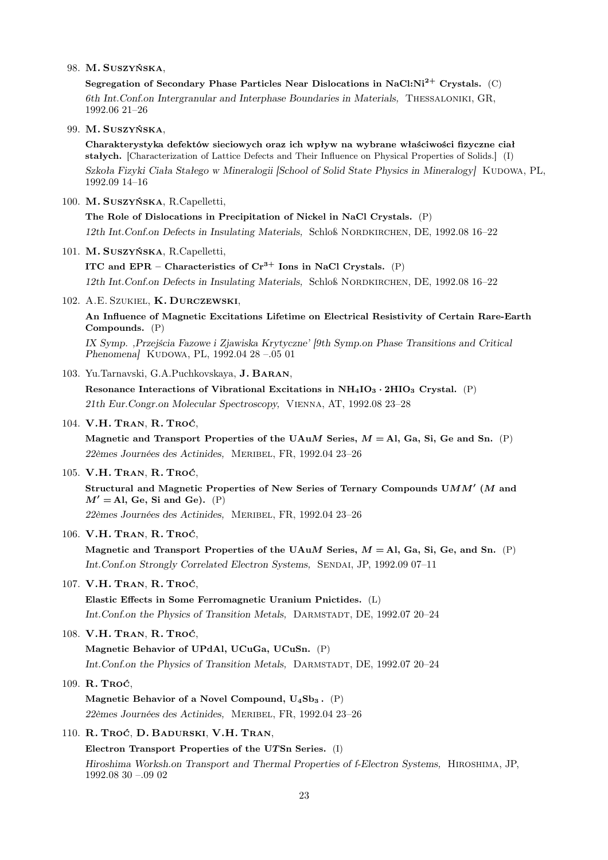98. M. Suszyńska,

Segregation of Secondary Phase Particles Near Dislocations in NaCl:Ni<sup>2+</sup> Crystals. (C) 6th Int.Conf.on Intergranular and Interphase Boundaries in Materials, Thessaloniki, GR, 1992.06 21–26

99. M. Suszyńska,

Charakterystyka defektów sieciowych oraz ich wpływ na wybrane właściwości fizyczne ciał stałych. [Characterization of Lattice Defects and Their Influence on Physical Properties of Solids.] (I) Szkoła Fizyki Ciała Stałego w Mineralogii [School of Solid State Physics in Mineralogy] KUDOWA, PL, 1992.09 14–16

100. M. Suszyńska, R.Capelletti,

The Role of Dislocations in Precipitation of Nickel in NaCl Crystals. (P) 12th Int. Conf.on Defects in Insulating Materials, Schloß NORDKIRCHEN, DE, 1992.08 16–22

101. M. Suszyńska, R.Capelletti,

ITC and EPR – Characteristics of  $Cr^{3+}$  Ions in NaCl Crystals. (P) 12th Int.Conf.on Defects in Insulating Materials, Schloß Nordkirchen, DE, 1992.08 16–22

102. A.E. SZUKIEL, K. DURCZEWSKI,

An Influence of Magnetic Excitations Lifetime on Electrical Resistivity of Certain Rare-Earth Compounds. (P)

IX Symp. ,Przejścia Fazowe i Zjawiska Krytyczne' [9th Symp.on Phase Transitions and Critical Phenomena] KUDOWA, PL, 1992.04 28 -.05 01

103. Yu.Tarnavski, G.A.Puchkovskaya, J. Baran,

Resonance Interactions of Vibrational Excitations in  $NH_4IO_3 \cdot 2HIO_3$  Crystal. (P) 21th Eur.Congr.on Molecular Spectroscopy, Vienna, AT, 1992.08 23–28

104. V.H. Tran, R. Troć,

Magnetic and Transport Properties of the UAuM Series,  $M = A$ , Ga, Si, Ge and Sn. (P) 22èmes Journées des Actinides, Meribel, FR, 1992.04 23–26

105. V.H. Tran, R. Troć,

Structural and Magnetic Properties of New Series of Ternary Compounds  $\mathsf{U}MM'$  (M and  $M' =$ Al, Ge, Si and Ge). (P)

22èmes Journées des Actinides, Meribel, FR, 1992.04 23–26

106. V.H. Tran, R. Troć,

Magnetic and Transport Properties of the UAuM Series,  $M = A$ , Ga, Si, Ge, and Sn. (P) Int.Conf.on Strongly Correlated Electron Systems, Sendai, JP, 1992.09 07–11

107. V.H. Tran, R. Troć,

Elastic Effects in Some Ferromagnetic Uranium Pnictides. (L) Int.Conf.on the Physics of Transition Metals, DARMSTADT, DE, 1992.07 20-24

108. V.H. Tran, R. Troć,

Magnetic Behavior of UPdAl, UCuGa, UCuSn. (P) Int.Conf.on the Physics of Transition Metals, DARMSTADT, DE, 1992.07 20-24

109. R. Troć,

Magnetic Behavior of a Novel Compound,  $U_4Sb_3$ . (P) 22èmes Journées des Actinides, Meribel, FR, 1992.04 23–26

110. R. Troć, D. Badurski, V.H. Tran,

Electron Transport Properties of the UTSn Series. (I) Hiroshima Worksh.on Transport and Thermal Properties of f-Electron Systems, Hiroshima, JP, 1992.08 30 –.09 02